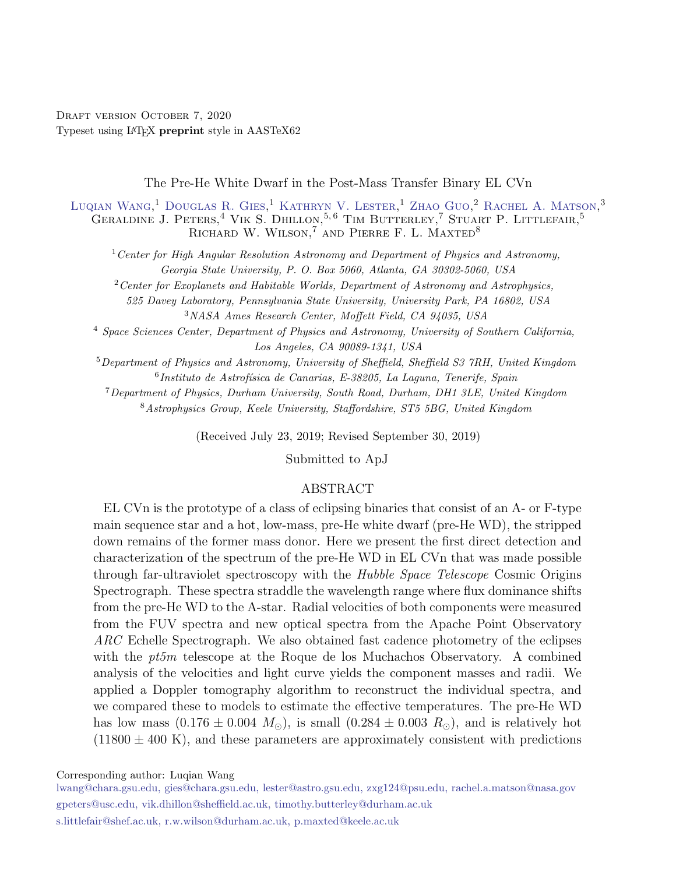DRAFT VERSION OCTOBER 7, 2020 Typeset using L<sup>A</sup>TEX preprint style in AASTeX62

The Pre-He White Dwarf in the Post-Mass Transfer Binary EL CVn

[Luqian Wang,](http://orcid.org/0000-0003-4511-6800)<sup>1</sup> [Douglas R. Gies,](http://orcid.org/0000-0001-8537-3583)<sup>1</sup> [Kathryn V. Lester,](http://orcid.org/0000-0002-9903-9911)<sup>1</sup> [Zhao Guo,](http://orcid.org/0000-0002-0951-2171)<sup>2</sup> [Rachel A. Matson,](http://orcid.org/0000-0001-7233-7508)<sup>3</sup> GERALDINE J. PETERS,<sup>4</sup> VIK S. DHILLON,<sup>5,6</sup> TIM BUTTERLEY,<sup>7</sup> STUART P. LITTLEFAIR,<sup>5</sup> RICHARD W. WILSON,<sup>7</sup> AND PIERRE F. L. MAXTED<sup>8</sup>

<sup>1</sup> Center for High Angular Resolution Astronomy and Department of Physics and Astronomy, Georgia State University, P. O. Box 5060, Atlanta, GA 30302-5060, USA

<sup>2</sup>Center for Exoplanets and Habitable Worlds, Department of Astronomy and Astrophysics,

525 Davey Laboratory, Pennsylvania State University, University Park, PA 16802, USA <sup>3</sup>NASA Ames Research Center, Moffett Field, CA 94035, USA

<sup>4</sup> Space Sciences Center, Department of Physics and Astronomy, University of Southern California, Los Angeles, CA 90089-1341, USA

<sup>5</sup>Department of Physics and Astronomy, University of Sheffield, Sheffield S3 7RH, United Kingdom  $^{6}$ Instituto de Astrofísica de Canarias, E-38205, La Laguna, Tenerife, Spain

<sup>7</sup>Department of Physics, Durham University, South Road, Durham, DH1 3LE, United Kingdom

<sup>8</sup>Astrophysics Group, Keele University, Staffordshire, ST5 5BG, United Kingdom

(Received July 23, 2019; Revised September 30, 2019)

Submitted to ApJ

## ABSTRACT

EL CVn is the prototype of a class of eclipsing binaries that consist of an A- or F-type main sequence star and a hot, low-mass, pre-He white dwarf (pre-He WD), the stripped down remains of the former mass donor. Here we present the first direct detection and characterization of the spectrum of the pre-He WD in EL CVn that was made possible through far-ultraviolet spectroscopy with the Hubble Space Telescope Cosmic Origins Spectrograph. These spectra straddle the wavelength range where flux dominance shifts from the pre-He WD to the A-star. Radial velocities of both components were measured from the FUV spectra and new optical spectra from the Apache Point Observatory ARC Echelle Spectrograph. We also obtained fast cadence photometry of the eclipses with the *pt5m* telescope at the Roque de los Muchachos Observatory. A combined analysis of the velocities and light curve yields the component masses and radii. We applied a Doppler tomography algorithm to reconstruct the individual spectra, and we compared these to models to estimate the effective temperatures. The pre-He WD has low mass  $(0.176 \pm 0.004 \ M_{\odot})$ , is small  $(0.284 \pm 0.003 \ R_{\odot})$ , and is relatively hot  $(11800 \pm 400 \text{ K})$ , and these parameters are approximately consistent with predictions

Corresponding author: Luqian Wang

[lwang@chara.gsu.edu, gies@chara.gsu.edu, lester@astro.gsu.edu, zxg124@psu.edu, rachel.a.matson@nasa.gov](mailto: lwang@chara.gsu.edu, gies@chara.gsu.edu, lester@astro.gsu.edu, zxg124@psu.edu, rachel.a.matson@nasa.gov) [gpeters@usc.edu, vik.dhillon@sheffield.ac.uk, timothy.butterley@durham.ac.uk](mailto: gpeters@usc.edu, vik.dhillon@sheffield.ac.uk, timothy.butterley@durham.ac.uk) [s.littlefair@shef.ac.uk, r.w.wilson@durham.ac.uk, p.maxted@keele.ac.uk](mailto: s.littlefair@shef.ac.uk, r.w.wilson@durham.ac.uk, p.maxted@keele.ac.uk)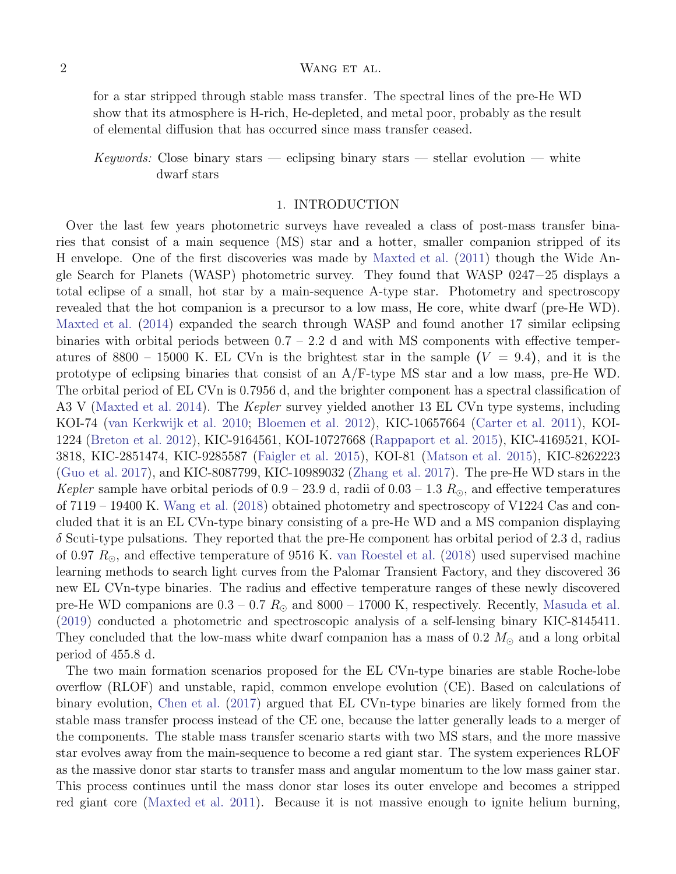for a star stripped through stable mass transfer. The spectral lines of the pre-He WD show that its atmosphere is H-rich, He-depleted, and metal poor, probably as the result of elemental diffusion that has occurred since mass transfer ceased.

# Keywords: Close binary stars — eclipsing binary stars — stellar evolution — white dwarf stars

#### 1. INTRODUCTION

Over the last few years photometric surveys have revealed a class of post-mass transfer binaries that consist of a main sequence (MS) star and a hotter, smaller companion stripped of its H envelope. One of the first discoveries was made by [Maxted et al.](#page-12-0) [\(2011](#page-12-0)) though the Wide Angle Search for Planets (WASP) photometric survey. They found that WASP 0247−25 displays a total eclipse of a small, hot star by a main-sequence A-type star. Photometry and spectroscopy revealed that the hot companion is a precursor to a low mass, He core, white dwarf (pre-He WD). [Maxted et al.](#page-12-1) [\(2014\)](#page-12-1) expanded the search through WASP and found another 17 similar eclipsing binaries with orbital periods between  $0.7 - 2.2$  d and with MS components with effective temperatures of 8800 – 15000 K. EL CVn is the brightest star in the sample  $(V = 9.4)$ , and it is the prototype of eclipsing binaries that consist of an A/F-type MS star and a low mass, pre-He WD. The orbital period of EL CVn is 0.7956 d, and the brighter component has a spectral classification of A3 V [\(Maxted et al. 2014\)](#page-12-1). The *Kepler* survey yielded another 13 EL CVn type systems, including KOI-74 [\(van Kerkwijk et al. 2010;](#page-12-2) [Bloemen et al. 2012\)](#page-12-3), KIC-10657664 [\(Carter et al. 2011\)](#page-12-4), KOI-1224 [\(Breton et al. 2012\)](#page-12-5), KIC-9164561, KOI-10727668 [\(Rappaport et al. 2015](#page-12-6)), KIC-4169521, KOI-3818, KIC-2851474, KIC-9285587 [\(Faigler et al. 2015](#page-12-7)), KOI-81 [\(Matson et al. 2015](#page-12-8)), KIC-8262223 [\(Guo et al. 2017](#page-12-9)), and KIC-8087799, KIC-10989032 [\(Zhang et al. 2017](#page-13-0)). The pre-He WD stars in the Kepler sample have orbital periods of  $0.9 - 23.9$  d, radii of  $0.03 - 1.3$   $R_{\odot}$ , and effective temperatures of 7119 – 19400 K. [Wang et al.](#page-12-10) [\(2018\)](#page-12-10) obtained photometry and spectroscopy of V1224 Cas and concluded that it is an EL CVn-type binary consisting of a pre-He WD and a MS companion displaying  $\delta$  Scuti-type pulsations. They reported that the pre-He component has orbital period of 2.3 d, radius of 0.97  $R_{\odot}$ , and effective temperature of 9516 K. [van Roestel et al.](#page-12-11) [\(2018\)](#page-12-11) used supervised machine learning methods to search light curves from the Palomar Transient Factory, and they discovered 36 new EL CVn-type binaries. The radius and effective temperature ranges of these newly discovered pre-He WD companions are  $0.3 - 0.7$   $R_{\odot}$  and  $8000 - 17000$  K, respectively. Recently, [Masuda et al.](#page-12-12) [\(2019\)](#page-12-12) conducted a photometric and spectroscopic analysis of a self-lensing binary KIC-8145411. They concluded that the low-mass white dwarf companion has a mass of 0.2  $M_{\odot}$  and a long orbital period of 455.8 d.

The two main formation scenarios proposed for the EL CVn-type binaries are stable Roche-lobe overflow (RLOF) and unstable, rapid, common envelope evolution (CE). Based on calculations of binary evolution, [Chen et al.](#page-12-13) [\(2017](#page-12-13)) argued that EL CVn-type binaries are likely formed from the stable mass transfer process instead of the CE one, because the latter generally leads to a merger of the components. The stable mass transfer scenario starts with two MS stars, and the more massive star evolves away from the main-sequence to become a red giant star. The system experiences RLOF as the massive donor star starts to transfer mass and angular momentum to the low mass gainer star. This process continues until the mass donor star loses its outer envelope and becomes a stripped red giant core [\(Maxted et al. 2011\)](#page-12-0). Because it is not massive enough to ignite helium burning,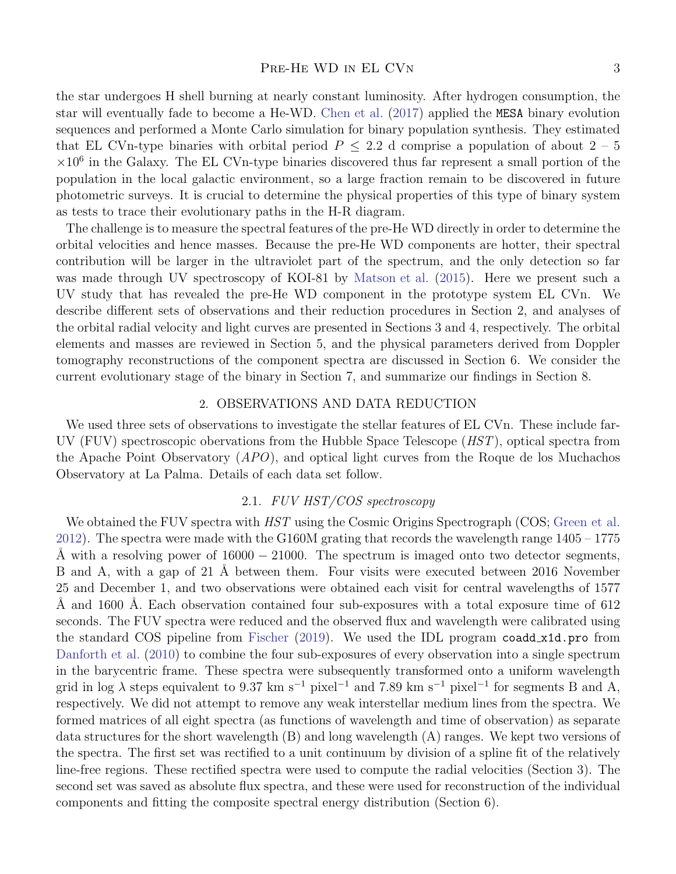#### PRE-HE WD IN EL CVN 3

the star undergoes H shell burning at nearly constant luminosity. After hydrogen consumption, the star will eventually fade to become a He-WD. [Chen et al.](#page-12-13) [\(2017](#page-12-13)) applied the MESA binary evolution sequences and performed a Monte Carlo simulation for binary population synthesis. They estimated that EL CVn-type binaries with orbital period  $P \leq 2.2$  d comprise a population of about  $2 - 5$  $\times 10^6$  in the Galaxy. The EL CVn-type binaries discovered thus far represent a small portion of the population in the local galactic environment, so a large fraction remain to be discovered in future photometric surveys. It is crucial to determine the physical properties of this type of binary system as tests to trace their evolutionary paths in the H-R diagram.

The challenge is to measure the spectral features of the pre-He WD directly in order to determine the orbital velocities and hence masses. Because the pre-He WD components are hotter, their spectral contribution will be larger in the ultraviolet part of the spectrum, and the only detection so far was made through UV spectroscopy of KOI-81 by [Matson et al.](#page-12-8) [\(2015\)](#page-12-8). Here we present such a UV study that has revealed the pre-He WD component in the prototype system EL CVn. We describe different sets of observations and their reduction procedures in Section 2, and analyses of the orbital radial velocity and light curves are presented in Sections 3 and 4, respectively. The orbital elements and masses are reviewed in Section 5, and the physical parameters derived from Doppler tomography reconstructions of the component spectra are discussed in Section 6. We consider the current evolutionary stage of the binary in Section 7, and summarize our findings in Section 8.

## 2. OBSERVATIONS AND DATA REDUCTION

We used three sets of observations to investigate the stellar features of EL CVn. These include far-UV (FUV) spectroscopic obervations from the Hubble Space Telescope  $(HST)$ , optical spectra from the Apache Point Observatory  $(APO)$ , and optical light curves from the Roque de los Muchachos Observatory at La Palma. Details of each data set follow.

## 2.1. FUV HST/COS spectroscopy

We obtained the FUV spectra with *HST* using the Cosmic Origins Spectrograph (COS; [Green et al.](#page-12-14) [2012](#page-12-14)). The spectra were made with the G160M grating that records the wavelength range 1405 – 1775 A with a resolving power of  $16000 - 21000$ . The spectrum is imaged onto two detector segments, B and A, with a gap of 21 Å between them. Four visits were executed between 2016 November 25 and December 1, and two observations were obtained each visit for central wavelengths of 1577 A and 1600 A. Each observation contained four sub-exposures with a total exposure time of 612 seconds. The FUV spectra were reduced and the observed flux and wavelength were calibrated using the standard COS pipeline from [Fischer](#page-12-15) [\(2019\)](#page-12-15). We used the IDL program coadd x1d.pro from [Danforth et al.](#page-12-16) [\(2010](#page-12-16)) to combine the four sub-exposures of every observation into a single spectrum in the barycentric frame. These spectra were subsequently transformed onto a uniform wavelength grid in log  $\lambda$  steps equivalent to 9.37 km s<sup>-1</sup> pixel<sup>-1</sup> and 7.89 km s<sup>-1</sup> pixel<sup>-1</sup> for segments B and A, respectively. We did not attempt to remove any weak interstellar medium lines from the spectra. We formed matrices of all eight spectra (as functions of wavelength and time of observation) as separate data structures for the short wavelength (B) and long wavelength (A) ranges. We kept two versions of the spectra. The first set was rectified to a unit continuum by division of a spline fit of the relatively line-free regions. These rectified spectra were used to compute the radial velocities (Section 3). The second set was saved as absolute flux spectra, and these were used for reconstruction of the individual components and fitting the composite spectral energy distribution (Section 6).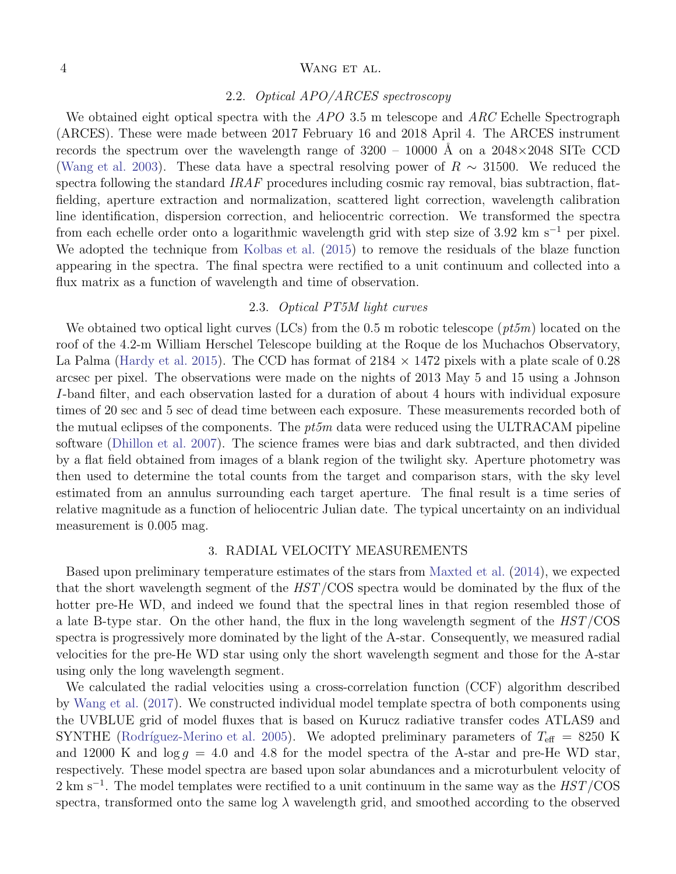## 2.2. Optical APO/ARCES spectroscopy

We obtained eight optical spectra with the  $APO$  3.5 m telescope and  $ARC$  Echelle Spectrograph (ARCES). These were made between 2017 February 16 and 2018 April 4. The ARCES instrument records the spectrum over the wavelength range of  $3200 - 10000$  Å on a  $2048 \times 2048$  SITe CCD [\(Wang et al. 2003](#page-13-1)). These data have a spectral resolving power of  $R \sim 31500$ . We reduced the spectra following the standard IRAF procedures including cosmic ray removal, bias subtraction, flatfielding, aperture extraction and normalization, scattered light correction, wavelength calibration line identification, dispersion correction, and heliocentric correction. We transformed the spectra from each echelle order onto a logarithmic wavelength grid with step size of 3.92 km s<sup>-1</sup> per pixel. We adopted the technique from [Kolbas et al.](#page-12-17) [\(2015](#page-12-17)) to remove the residuals of the blaze function appearing in the spectra. The final spectra were rectified to a unit continuum and collected into a flux matrix as a function of wavelength and time of observation.

## 2.3. Optical PT5M light curves

We obtained two optical light curves (LCs) from the 0.5 m robotic telescope ( $pt5m$ ) located on the roof of the 4.2-m William Herschel Telescope building at the Roque de los Muchachos Observatory, La Palma [\(Hardy et al. 2015](#page-12-18)). The CCD has format of  $2184 \times 1472$  pixels with a plate scale of 0.28 arcsec per pixel. The observations were made on the nights of 2013 May 5 and 15 using a Johnson I-band filter, and each observation lasted for a duration of about 4 hours with individual exposure times of 20 sec and 5 sec of dead time between each exposure. These measurements recorded both of the mutual eclipses of the components. The  $pt5m$  data were reduced using the ULTRACAM pipeline software [\(Dhillon et al. 2007](#page-12-19)). The science frames were bias and dark subtracted, and then divided by a flat field obtained from images of a blank region of the twilight sky. Aperture photometry was then used to determine the total counts from the target and comparison stars, with the sky level estimated from an annulus surrounding each target aperture. The final result is a time series of relative magnitude as a function of heliocentric Julian date. The typical uncertainty on an individual measurement is 0.005 mag.

#### 3. RADIAL VELOCITY MEASUREMENTS

Based upon preliminary temperature estimates of the stars from [Maxted et al.](#page-12-1) [\(2014](#page-12-1)), we expected that the short wavelength segment of the HST/COS spectra would be dominated by the flux of the hotter pre-He WD, and indeed we found that the spectral lines in that region resembled those of a late B-type star. On the other hand, the flux in the long wavelength segment of the HST/COS spectra is progressively more dominated by the light of the A-star. Consequently, we measured radial velocities for the pre-He WD star using only the short wavelength segment and those for the A-star using only the long wavelength segment.

We calculated the radial velocities using a cross-correlation function (CCF) algorithm described by [Wang et al.](#page-13-2) [\(2017](#page-13-2)). We constructed individual model template spectra of both components using the UVBLUE grid of model fluxes that is based on Kurucz radiative transfer codes ATLAS9 and SYNTHE (Rodríguez-Merino et al. 2005). We adopted preliminary parameters of  $T_{\text{eff}} = 8250$  K and 12000 K and  $\log g = 4.0$  and 4.8 for the model spectra of the A-star and pre-He WD star, respectively. These model spectra are based upon solar abundances and a microturbulent velocity of 2 km s<sup>-1</sup>. The model templates were rectified to a unit continuum in the same way as the  $HST/\text{COS}$ spectra, transformed onto the same log  $\lambda$  wavelength grid, and smoothed according to the observed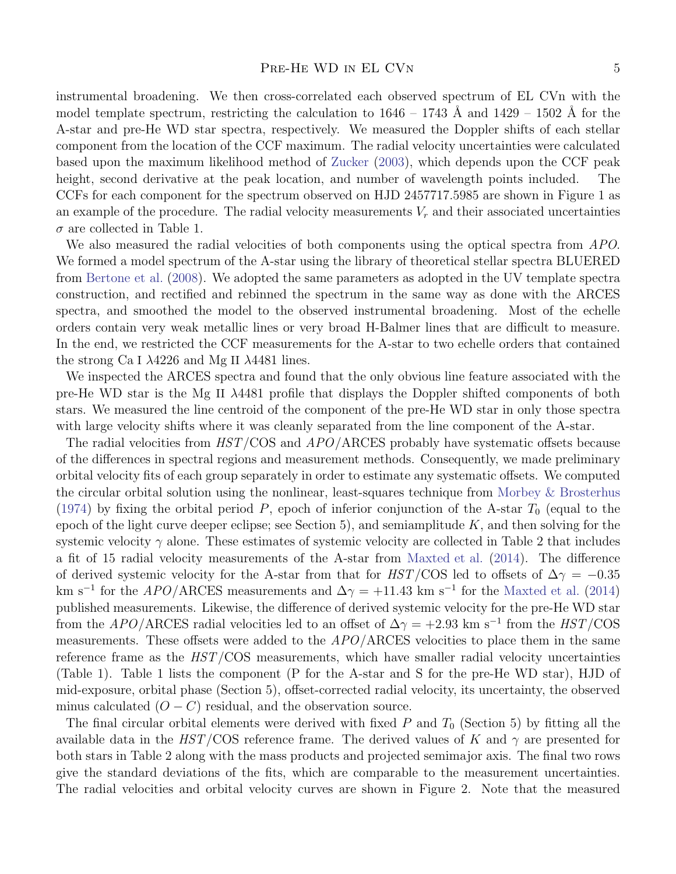instrumental broadening. We then cross-correlated each observed spectrum of EL CVn with the model template spectrum, restricting the calculation to  $1646 - 1743$  Å and  $1429 - 1502$  Å for the A-star and pre-He WD star spectra, respectively. We measured the Doppler shifts of each stellar component from the location of the CCF maximum. The radial velocity uncertainties were calculated based upon the maximum likelihood method of [Zucker](#page-13-3) [\(2003](#page-13-3)), which depends upon the CCF peak height, second derivative at the peak location, and number of wavelength points included. The CCFs for each component for the spectrum observed on HJD 2457717.5985 are shown in Figure 1 as an example of the procedure. The radial velocity measurements  $V_r$  and their associated uncertainties  $\sigma$  are collected in Table 1.

We also measured the radial velocities of both components using the optical spectra from APO. We formed a model spectrum of the A-star using the library of theoretical stellar spectra BLUERED from [Bertone et al.](#page-12-21) [\(2008](#page-12-21)). We adopted the same parameters as adopted in the UV template spectra construction, and rectified and rebinned the spectrum in the same way as done with the ARCES spectra, and smoothed the model to the observed instrumental broadening. Most of the echelle orders contain very weak metallic lines or very broad H-Balmer lines that are difficult to measure. In the end, we restricted the CCF measurements for the A-star to two echelle orders that contained the strong Ca I  $\lambda$ 4226 and Mg II  $\lambda$ 4481 lines.

We inspected the ARCES spectra and found that the only obvious line feature associated with the pre-He WD star is the Mg II λ4481 profile that displays the Doppler shifted components of both stars. We measured the line centroid of the component of the pre-He WD star in only those spectra with large velocity shifts where it was cleanly separated from the line component of the A-star.

The radial velocities from  $HST/COS$  and  $APO/ARCES$  probably have systematic offsets because of the differences in spectral regions and measurement methods. Consequently, we made preliminary orbital velocity fits of each group separately in order to estimate any systematic offsets. We computed the circular orbital solution using the nonlinear, least-squares technique from [Morbey & Brosterhus](#page-12-22) [\(1974\)](#page-12-22) by fixing the orbital period P, epoch of inferior conjunction of the A-star  $T_0$  (equal to the epoch of the light curve deeper eclipse; see Section 5), and semiamplitude  $K$ , and then solving for the systemic velocity  $\gamma$  alone. These estimates of systemic velocity are collected in Table 2 that includes a fit of 15 radial velocity measurements of the A-star from [Maxted et al.](#page-12-1) [\(2014](#page-12-1)). The difference of derived systemic velocity for the A-star from that for  $HST/COS$  led to offsets of  $\Delta\gamma = -0.35$ km s<sup>-1</sup> for the APO/ARCES measurements and  $\Delta \gamma = +11.43$  km s<sup>-1</sup> for the [Maxted et al.](#page-12-1) [\(2014](#page-12-1)) published measurements. Likewise, the difference of derived systemic velocity for the pre-He WD star from the  $APO/ARCES$  radial velocities led to an offset of  $\Delta\gamma = +2.93$  km s<sup>-1</sup> from the  $HST/COS$ measurements. These offsets were added to the APO/ARCES velocities to place them in the same reference frame as the HST/COS measurements, which have smaller radial velocity uncertainties (Table 1). Table 1 lists the component (P for the A-star and S for the pre-He WD star), HJD of mid-exposure, orbital phase (Section 5), offset-corrected radial velocity, its uncertainty, the observed minus calculated  $(O - C)$  residual, and the observation source.

The final circular orbital elements were derived with fixed  $P$  and  $T_0$  (Section 5) by fitting all the available data in the  $HST/\text{COS}$  reference frame. The derived values of K and  $\gamma$  are presented for both stars in Table 2 along with the mass products and projected semimajor axis. The final two rows give the standard deviations of the fits, which are comparable to the measurement uncertainties. The radial velocities and orbital velocity curves are shown in Figure 2. Note that the measured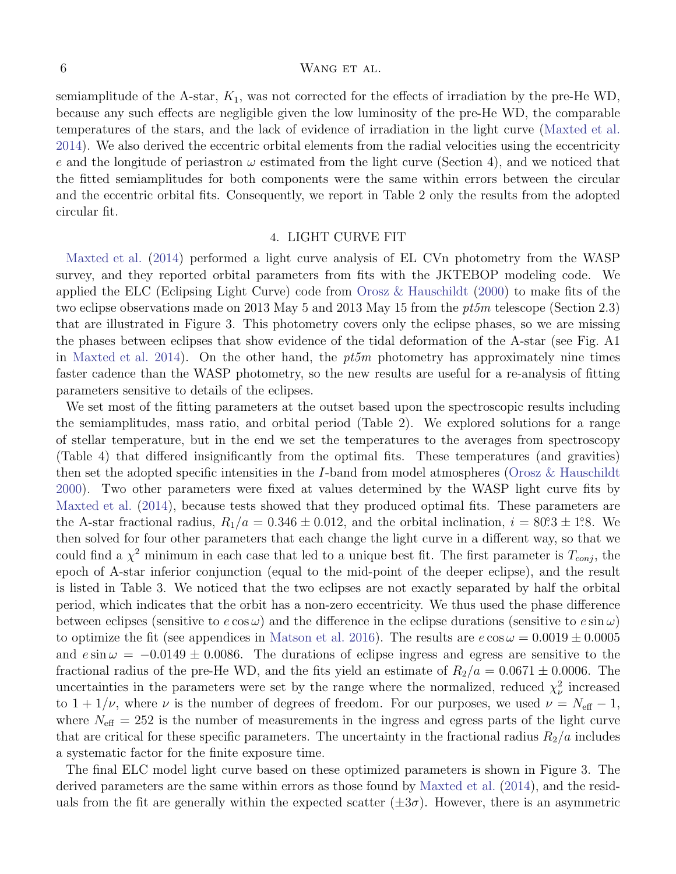semiamplitude of the A-star,  $K_1$ , was not corrected for the effects of irradiation by the pre-He WD, because any such effects are negligible given the low luminosity of the pre-He WD, the comparable temperatures of the stars, and the lack of evidence of irradiation in the light curve [\(Maxted et al.](#page-12-1) [2014](#page-12-1)). We also derived the eccentric orbital elements from the radial velocities using the eccentricity e and the longitude of periastron  $\omega$  estimated from the light curve (Section 4), and we noticed that the fitted semiamplitudes for both components were the same within errors between the circular and the eccentric orbital fits. Consequently, we report in Table 2 only the results from the adopted circular fit.

## 4. LIGHT CURVE FIT

[Maxted et al.](#page-12-1) [\(2014](#page-12-1)) performed a light curve analysis of EL CVn photometry from the WASP survey, and they reported orbital parameters from fits with the JKTEBOP modeling code. We applied the ELC (Eclipsing Light Curve) code from [Orosz & Hauschildt](#page-12-23) [\(2000\)](#page-12-23) to make fits of the two eclipse observations made on 2013 May 5 and 2013 May 15 from the  $pt5m$  telescope (Section 2.3) that are illustrated in Figure 3. This photometry covers only the eclipse phases, so we are missing the phases between eclipses that show evidence of the tidal deformation of the A-star (see Fig. A1 in [Maxted et al. 2014](#page-12-1)). On the other hand, the  $pt5m$  photometry has approximately nine times faster cadence than the WASP photometry, so the new results are useful for a re-analysis of fitting parameters sensitive to details of the eclipses.

We set most of the fitting parameters at the outset based upon the spectroscopic results including the semiamplitudes, mass ratio, and orbital period (Table 2). We explored solutions for a range of stellar temperature, but in the end we set the temperatures to the averages from spectroscopy (Table 4) that differed insignificantly from the optimal fits. These temperatures (and gravities) then set the adopted specific intensities in the I-band from model atmospheres [\(Orosz & Hauschildt](#page-12-23) [2000](#page-12-23)). Two other parameters were fixed at values determined by the WASP light curve fits by [Maxted et al.](#page-12-1) [\(2014](#page-12-1)), because tests showed that they produced optimal fits. These parameters are the A-star fractional radius,  $R_1/a = 0.346 \pm 0.012$ , and the orbital inclination,  $i = 80^\circ 3 \pm 1^\circ 8$ . We then solved for four other parameters that each change the light curve in a different way, so that we could find a  $\chi^2$  minimum in each case that led to a unique best fit. The first parameter is  $T_{conj}$ , the epoch of A-star inferior conjunction (equal to the mid-point of the deeper eclipse), and the result is listed in Table 3. We noticed that the two eclipses are not exactly separated by half the orbital period, which indicates that the orbit has a non-zero eccentricity. We thus used the phase difference between eclipses (sensitive to  $e \cos \omega$ ) and the difference in the eclipse durations (sensitive to  $e \sin \omega$ ) to optimize the fit (see appendices in [Matson et al. 2016\)](#page-12-24). The results are  $e \cos \omega = 0.0019 \pm 0.0005$ and  $e \sin \omega = -0.0149 \pm 0.0086$ . The durations of eclipse ingress and egress are sensitive to the fractional radius of the pre-He WD, and the fits yield an estimate of  $R_2/a = 0.0671 \pm 0.0006$ . The uncertainties in the parameters were set by the range where the normalized, reduced  $\chi^2_{\nu}$  increased to  $1 + 1/\nu$ , where  $\nu$  is the number of degrees of freedom. For our purposes, we used  $\nu = N_{\text{eff}} - 1$ , where  $N_{\text{eff}} = 252$  is the number of measurements in the ingress and egress parts of the light curve that are critical for these specific parameters. The uncertainty in the fractional radius  $R_2/a$  includes a systematic factor for the finite exposure time.

The final ELC model light curve based on these optimized parameters is shown in Figure 3. The derived parameters are the same within errors as those found by [Maxted et al.](#page-12-1) [\(2014\)](#page-12-1), and the residuals from the fit are generally within the expected scatter  $(\pm 3\sigma)$ . However, there is an asymmetric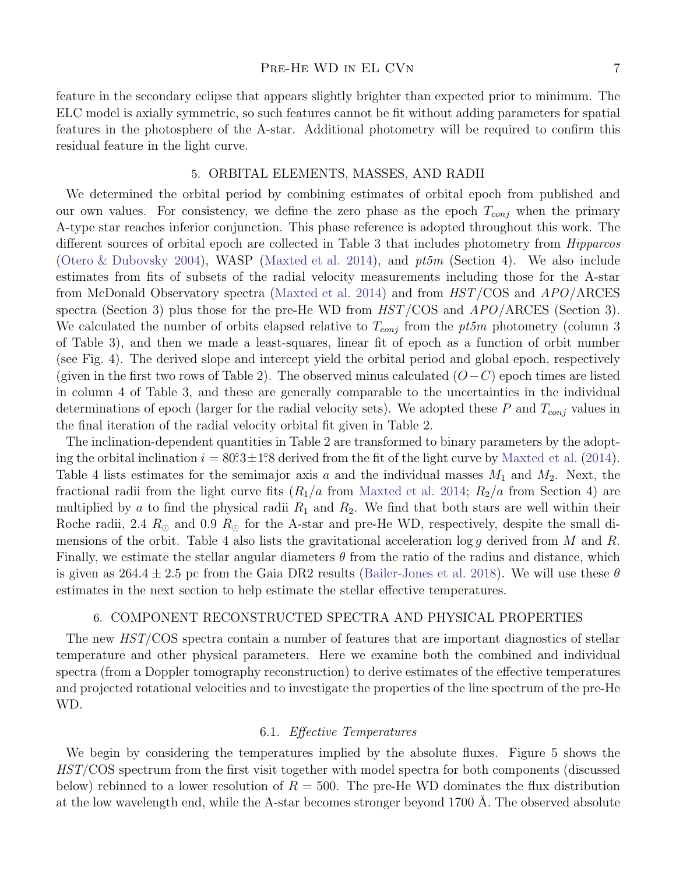#### PRE-HE WD IN EL CVN 7

feature in the secondary eclipse that appears slightly brighter than expected prior to minimum. The ELC model is axially symmetric, so such features cannot be fit without adding parameters for spatial features in the photosphere of the A-star. Additional photometry will be required to confirm this residual feature in the light curve.

#### 5. ORBITAL ELEMENTS, MASSES, AND RADII

We determined the orbital period by combining estimates of orbital epoch from published and our own values. For consistency, we define the zero phase as the epoch  $T_{conj}$  when the primary A-type star reaches inferior conjunction. This phase reference is adopted throughout this work. The different sources of orbital epoch are collected in Table 3 that includes photometry from *Hipparcos* [\(Otero & Dubovsky 2004](#page-12-25)), WASP [\(Maxted et al. 2014\)](#page-12-1), and  $pt5m$  (Section 4). We also include estimates from fits of subsets of the radial velocity measurements including those for the A-star from McDonald Observatory spectra [\(Maxted et al. 2014\)](#page-12-1) and from HST/COS and APO/ARCES spectra (Section 3) plus those for the pre-He WD from  $HST/COS$  and  $APO/AREES$  (Section 3). We calculated the number of orbits elapsed relative to  $T_{conj}$  from the pt5m photometry (column 3 of Table 3), and then we made a least-squares, linear fit of epoch as a function of orbit number (see Fig. 4). The derived slope and intercept yield the orbital period and global epoch, respectively (given in the first two rows of Table 2). The observed minus calculated  $(O-C)$  epoch times are listed in column 4 of Table 3, and these are generally comparable to the uncertainties in the individual determinations of epoch (larger for the radial velocity sets). We adopted these P and  $T_{coni}$  values in the final iteration of the radial velocity orbital fit given in Table 2.

The inclination-dependent quantities in Table 2 are transformed to binary parameters by the adopting the orbital inclination  $i = 80^\circ 3 \pm 1^\circ 8$  derived from the fit of the light curve by [Maxted et al.](#page-12-1) [\(2014](#page-12-1)). Table 4 lists estimates for the semimajor axis a and the individual masses  $M_1$  and  $M_2$ . Next, the fractional radii from the light curve fits  $(R_1/a$  from [Maxted et al. 2014](#page-12-1);  $R_2/a$  from Section 4) are multiplied by a to find the physical radii  $R_1$  and  $R_2$ . We find that both stars are well within their Roche radii, 2.4  $R_{\odot}$  and 0.9  $R_{\odot}$  for the A-star and pre-He WD, respectively, despite the small dimensions of the orbit. Table 4 also lists the gravitational acceleration  $\log q$  derived from M and R. Finally, we estimate the stellar angular diameters  $\theta$  from the ratio of the radius and distance, which is given as  $264.4 \pm 2.5$  pc from the Gaia DR2 results [\(Bailer-Jones et al. 2018\)](#page-12-26). We will use these  $\theta$ estimates in the next section to help estimate the stellar effective temperatures.

## 6. COMPONENT RECONSTRUCTED SPECTRA AND PHYSICAL PROPERTIES

The new  $HST/COS$  spectra contain a number of features that are important diagnostics of stellar temperature and other physical parameters. Here we examine both the combined and individual spectra (from a Doppler tomography reconstruction) to derive estimates of the effective temperatures and projected rotational velocities and to investigate the properties of the line spectrum of the pre-He WD.

## 6.1. Effective Temperatures

We begin by considering the temperatures implied by the absolute fluxes. Figure 5 shows the HST/COS spectrum from the first visit together with model spectra for both components (discussed below) rebinned to a lower resolution of  $R = 500$ . The pre-He WD dominates the flux distribution at the low wavelength end, while the A-star becomes stronger beyond 1700 Å. The observed absolute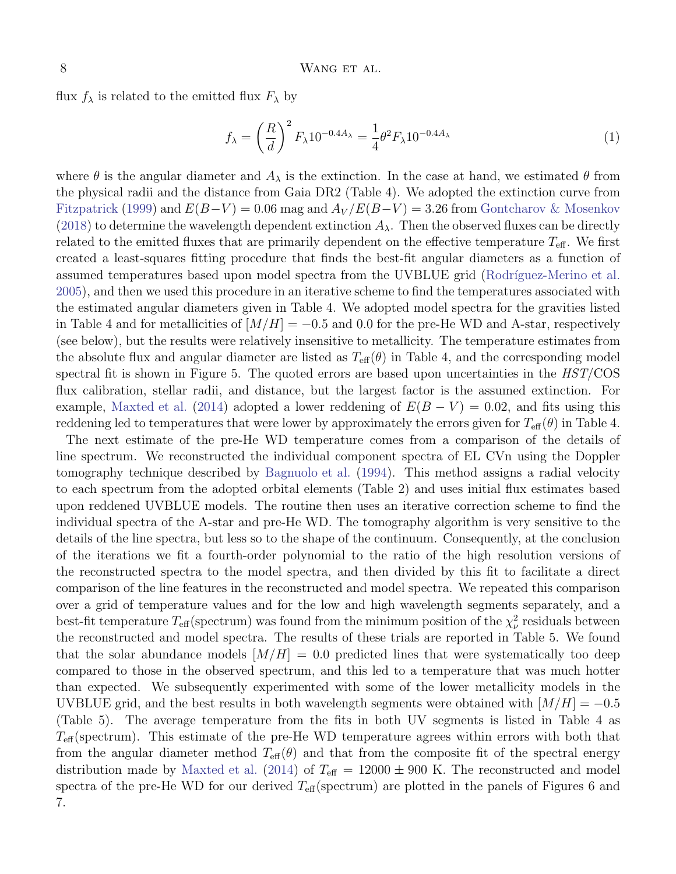flux  $f_{\lambda}$  is related to the emitted flux  $F_{\lambda}$  by

$$
f_{\lambda} = \left(\frac{R}{d}\right)^2 F_{\lambda} 10^{-0.4A_{\lambda}} = \frac{1}{4} \theta^2 F_{\lambda} 10^{-0.4A_{\lambda}}
$$
 (1)

where  $\theta$  is the angular diameter and  $A_{\lambda}$  is the extinction. In the case at hand, we estimated  $\theta$  from the physical radii and the distance from Gaia DR2 (Table 4). We adopted the extinction curve from [Fitzpatrick](#page-12-27) [\(1999\)](#page-12-27) and  $E(B-V) = 0.06$  mag and  $A_V/E(B-V) = 3.26$  from [Gontcharov & Mosenkov](#page-12-28) [\(2018\)](#page-12-28) to determine the wavelength dependent extinction  $A_{\lambda}$ . Then the observed fluxes can be directly related to the emitted fluxes that are primarily dependent on the effective temperature  $T_{\text{eff}}$ . We first created a least-squares fitting procedure that finds the best-fit angular diameters as a function of assumed temperatures based upon model spectra from the UVBLUE grid (Rodríguez-Merino et al. [2005](#page-12-20)), and then we used this procedure in an iterative scheme to find the temperatures associated with the estimated angular diameters given in Table 4. We adopted model spectra for the gravities listed in Table 4 and for metallicities of  $[M/H] = -0.5$  and 0.0 for the pre-He WD and A-star, respectively (see below), but the results were relatively insensitive to metallicity. The temperature estimates from the absolute flux and angular diameter are listed as  $T_{\text{eff}}(\theta)$  in Table 4, and the corresponding model spectral fit is shown in Figure 5. The quoted errors are based upon uncertainties in the  $HST/COS$ flux calibration, stellar radii, and distance, but the largest factor is the assumed extinction. For example, [Maxted et al.](#page-12-1) [\(2014](#page-12-1)) adopted a lower reddening of  $E(B - V) = 0.02$ , and fits using this reddening led to temperatures that were lower by approximately the errors given for  $T_{\text{eff}}(\theta)$  in Table 4.

The next estimate of the pre-He WD temperature comes from a comparison of the details of line spectrum. We reconstructed the individual component spectra of EL CVn using the Doppler tomography technique described by [Bagnuolo et al.](#page-12-29) [\(1994\)](#page-12-29). This method assigns a radial velocity to each spectrum from the adopted orbital elements (Table 2) and uses initial flux estimates based upon reddened UVBLUE models. The routine then uses an iterative correction scheme to find the individual spectra of the A-star and pre-He WD. The tomography algorithm is very sensitive to the details of the line spectra, but less so to the shape of the continuum. Consequently, at the conclusion of the iterations we fit a fourth-order polynomial to the ratio of the high resolution versions of the reconstructed spectra to the model spectra, and then divided by this fit to facilitate a direct comparison of the line features in the reconstructed and model spectra. We repeated this comparison over a grid of temperature values and for the low and high wavelength segments separately, and a best-fit temperature  $T_{\text{eff}}$  (spectrum) was found from the minimum position of the  $\chi^2_{\nu}$  residuals between the reconstructed and model spectra. The results of these trials are reported in Table 5. We found that the solar abundance models  $[M/H] = 0.0$  predicted lines that were systematically too deep compared to those in the observed spectrum, and this led to a temperature that was much hotter than expected. We subsequently experimented with some of the lower metallicity models in the UVBLUE grid, and the best results in both wavelength segments were obtained with  $[M/H] = -0.5$ (Table 5). The average temperature from the fits in both UV segments is listed in Table 4 as  $T_{\text{eff}}$  (spectrum). This estimate of the pre-He WD temperature agrees within errors with both that from the angular diameter method  $T_{\text{eff}}(\theta)$  and that from the composite fit of the spectral energy distribution made by [Maxted et al.](#page-12-1) [\(2014](#page-12-1)) of  $T_{\text{eff}} = 12000 \pm 900$  K. The reconstructed and model spectra of the pre-He WD for our derived  $T_{\text{eff}}$  (spectrum) are plotted in the panels of Figures 6 and 7.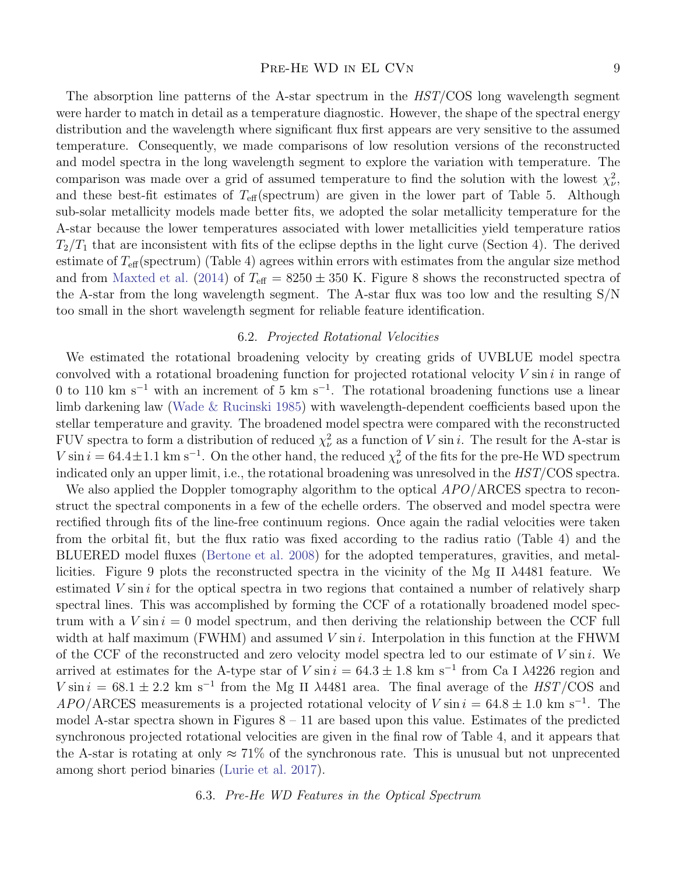#### PRE-HE WD IN EL CVN 9

The absorption line patterns of the A-star spectrum in the HST/COS long wavelength segment were harder to match in detail as a temperature diagnostic. However, the shape of the spectral energy distribution and the wavelength where significant flux first appears are very sensitive to the assumed temperature. Consequently, we made comparisons of low resolution versions of the reconstructed and model spectra in the long wavelength segment to explore the variation with temperature. The comparison was made over a grid of assumed temperature to find the solution with the lowest  $\chi^2_{\nu}$ , and these best-fit estimates of  $T_{\text{eff}}$ (spectrum) are given in the lower part of Table 5. Although sub-solar metallicity models made better fits, we adopted the solar metallicity temperature for the A-star because the lower temperatures associated with lower metallicities yield temperature ratios  $T_2/T_1$  that are inconsistent with fits of the eclipse depths in the light curve (Section 4). The derived estimate of  $T_{\text{eff}}$ (spectrum) (Table 4) agrees within errors with estimates from the angular size method and from [Maxted et al.](#page-12-1) [\(2014](#page-12-1)) of  $T_{\text{eff}} = 8250 \pm 350$  K. Figure 8 shows the reconstructed spectra of the A-star from the long wavelength segment. The A-star flux was too low and the resulting S/N too small in the short wavelength segment for reliable feature identification.

## 6.2. Projected Rotational Velocities

We estimated the rotational broadening velocity by creating grids of UVBLUE model spectra convolved with a rotational broadening function for projected rotational velocity  $V \sin i$  in range of 0 to 110 km s<sup>-1</sup> with an increment of 5 km s<sup>-1</sup>. The rotational broadening functions use a linear limb darkening law [\(Wade & Rucinski 1985](#page-12-30)) with wavelength-dependent coefficients based upon the stellar temperature and gravity. The broadened model spectra were compared with the reconstructed FUV spectra to form a distribution of reduced  $\chi^2_{\nu}$  as a function of V sin *i*. The result for the A-star is  $V \sin i = 64.4 \pm 1.1 \text{ km s}^{-1}$ . On the other hand, the reduced  $\chi^2_{\nu}$  of the fits for the pre-He WD spectrum indicated only an upper limit, i.e., the rotational broadening was unresolved in the HST/COS spectra.

We also applied the Doppler tomography algorithm to the optical  $APO/ARCES$  spectra to reconstruct the spectral components in a few of the echelle orders. The observed and model spectra were rectified through fits of the line-free continuum regions. Once again the radial velocities were taken from the orbital fit, but the flux ratio was fixed according to the radius ratio (Table 4) and the BLUERED model fluxes [\(Bertone et al. 2008](#page-12-21)) for the adopted temperatures, gravities, and metallicities. Figure 9 plots the reconstructed spectra in the vicinity of the Mg II  $\lambda$ 4481 feature. We estimated  $V \sin i$  for the optical spectra in two regions that contained a number of relatively sharp spectral lines. This was accomplished by forming the CCF of a rotationally broadened model spectrum with a  $V \sin i = 0$  model spectrum, and then deriving the relationship between the CCF full width at half maximum (FWHM) and assumed  $V \sin i$ . Interpolation in this function at the FHWM of the CCF of the reconstructed and zero velocity model spectra led to our estimate of  $V \sin i$ . We arrived at estimates for the A-type star of  $V \sin i = 64.3 \pm 1.8$  km s<sup>-1</sup> from Ca I  $\lambda$ 4226 region and V sin  $i = 68.1 \pm 2.2$  km s<sup>-1</sup> from the Mg II  $\lambda$ 4481 area. The final average of the HST/COS and  $APO/$  RCES measurements is a projected rotational velocity of  $V \sin i = 64.8 \pm 1.0 \text{ km s}^{-1}$ . Themodel A-star spectra shown in Figures  $8 - 11$  are based upon this value. Estimates of the predicted synchronous projected rotational velocities are given in the final row of Table 4, and it appears that the A-star is rotating at only  $\approx 71\%$  of the synchronous rate. This is unusual but not unprecented among short period binaries [\(Lurie et al. 2017](#page-12-31)).

6.3. Pre-He WD Features in the Optical Spectrum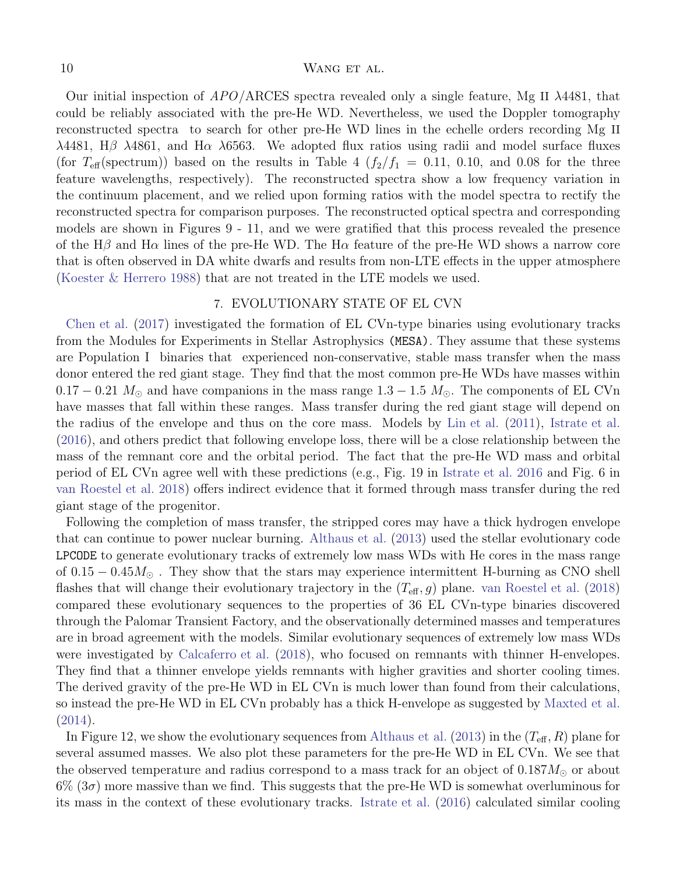Our initial inspection of  $APO/ARCES$  spectra revealed only a single feature, Mg II  $\lambda$ 4481, that could be reliably associated with the pre-He WD. Nevertheless, we used the Doppler tomography reconstructed spectra to search for other pre-He WD lines in the echelle orders recording Mg II λ4481, Hβ λ4861, and Hα λ6563. We adopted flux ratios using radii and model surface fluxes (for  $T_{\text{eff}}(\text{spectrum})$ ) based on the results in Table 4  $(f_2/f_1 = 0.11, 0.10, \text{ and } 0.08$  for the three feature wavelengths, respectively). The reconstructed spectra show a low frequency variation in the continuum placement, and we relied upon forming ratios with the model spectra to rectify the reconstructed spectra for comparison purposes. The reconstructed optical spectra and corresponding models are shown in Figures 9 - 11, and we were gratified that this process revealed the presence of the H $\beta$  and H $\alpha$  lines of the pre-He WD. The H $\alpha$  feature of the pre-He WD shows a narrow core that is often observed in DA white dwarfs and results from non-LTE effects in the upper atmosphere [\(Koester & Herrero 1988\)](#page-12-32) that are not treated in the LTE models we used.

## 7. EVOLUTIONARY STATE OF EL CVN

[Chen et al.](#page-12-13) [\(2017\)](#page-12-13) investigated the formation of EL CVn-type binaries using evolutionary tracks from the Modules for Experiments in Stellar Astrophysics (MESA). They assume that these systems are Population I binaries that experienced non-conservative, stable mass transfer when the mass donor entered the red giant stage. They find that the most common pre-He WDs have masses within  $0.17 - 0.21$   $M_{\odot}$  and have companions in the mass range  $1.3 - 1.5$   $M_{\odot}$ . The components of EL CVn have masses that fall within these ranges. Mass transfer during the red giant stage will depend on the radius of the envelope and thus on the core mass. Models by [Lin et al.](#page-12-33) [\(2011](#page-12-33)), [Istrate et al.](#page-12-34) [\(2016\)](#page-12-34), and others predict that following envelope loss, there will be a close relationship between the mass of the remnant core and the orbital period. The fact that the pre-He WD mass and orbital period of EL CVn agree well with these predictions (e.g., Fig. 19 in [Istrate et al. 2016](#page-12-34) and Fig. 6 in [van Roestel et al. 2018](#page-12-11)) offers indirect evidence that it formed through mass transfer during the red giant stage of the progenitor.

Following the completion of mass transfer, the stripped cores may have a thick hydrogen envelope that can continue to power nuclear burning. [Althaus et al.](#page-12-35) [\(2013](#page-12-35)) used the stellar evolutionary code LPCODE to generate evolutionary tracks of extremely low mass WDs with He cores in the mass range of  $0.15 - 0.45M_{\odot}$ . They show that the stars may experience intermittent H-burning as CNO shell flashes that will change their evolutionary trajectory in the  $(T_{\text{eff}}, g)$  plane. [van Roestel et al.](#page-12-11) [\(2018](#page-12-11)) compared these evolutionary sequences to the properties of 36 EL CVn-type binaries discovered through the Palomar Transient Factory, and the observationally determined masses and temperatures are in broad agreement with the models. Similar evolutionary sequences of extremely low mass WDs were investigated by [Calcaferro et al.](#page-12-36) [\(2018](#page-12-36)), who focused on remnants with thinner H-envelopes. They find that a thinner envelope yields remnants with higher gravities and shorter cooling times. The derived gravity of the pre-He WD in EL CVn is much lower than found from their calculations, so instead the pre-He WD in EL CVn probably has a thick H-envelope as suggested by [Maxted et al.](#page-12-1) [\(2014\)](#page-12-1).

In Figure 12, we show the evolutionary sequences from [Althaus et al.](#page-12-35) [\(2013\)](#page-12-35) in the  $(T_{\text{eff}}, R)$  plane for several assumed masses. We also plot these parameters for the pre-He WD in EL CVn. We see that the observed temperature and radius correspond to a mass track for an object of  $0.187M_{\odot}$  or about  $6\%$  (3 $\sigma$ ) more massive than we find. This suggests that the pre-He WD is somewhat overluminous for its mass in the context of these evolutionary tracks. [Istrate et al.](#page-12-34) [\(2016](#page-12-34)) calculated similar cooling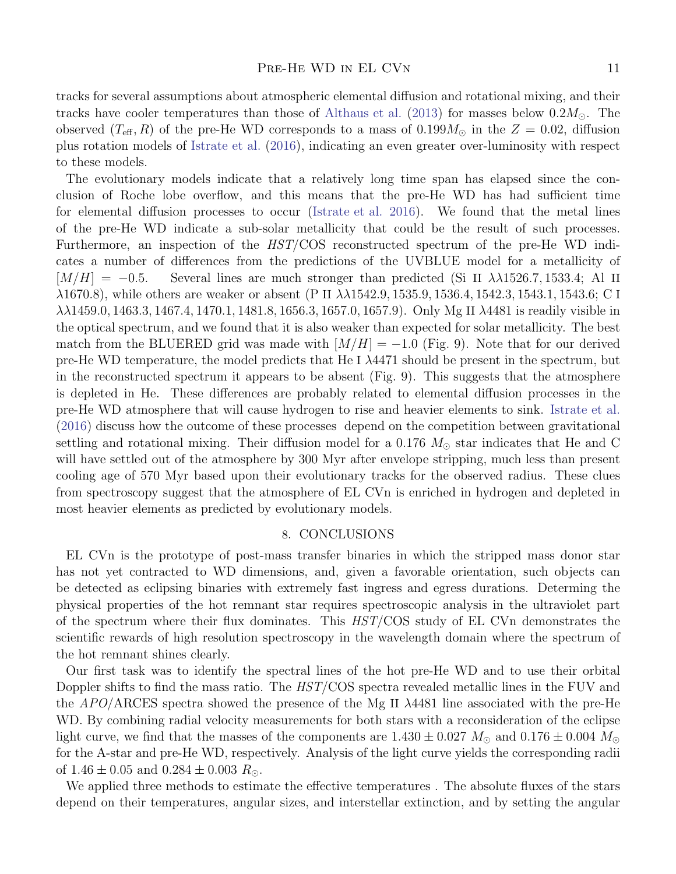tracks for several assumptions about atmospheric elemental diffusion and rotational mixing, and their tracks have cooler temperatures than those of [Althaus et al.](#page-12-35) [\(2013\)](#page-12-35) for masses below  $0.2M_{\odot}$ . The observed  $(T_{\text{eff}}, R)$  of the pre-He WD corresponds to a mass of 0.199 $M_{\odot}$  in the  $Z = 0.02$ , diffusion plus rotation models of [Istrate et al.](#page-12-34) [\(2016](#page-12-34)), indicating an even greater over-luminosity with respect to these models.

The evolutionary models indicate that a relatively long time span has elapsed since the conclusion of Roche lobe overflow, and this means that the pre-He WD has had sufficient time for elemental diffusion processes to occur [\(Istrate et al. 2016](#page-12-34)). We found that the metal lines of the pre-He WD indicate a sub-solar metallicity that could be the result of such processes. Furthermore, an inspection of the  $HST/COS$  reconstructed spectrum of the pre-He WD indicates a number of differences from the predictions of the UVBLUE model for a metallicity of  $[M/H] = -0.5$ . Several lines are much stronger than predicted (Si II  $\lambda\lambda$ 1526.7, 1533.4; Al II  $\lambda$ 1670.8), while others are weaker or absent (P II  $\lambda\lambda$ 1542.9, 1535.9, 1536.4, 1542.3, 1543.1, 1543.6; C I λλ1459.0, 1463.3, 1467.4, 1470.1, 1481.8, 1656.3, 1657.0, 1657.9). Only Mg II λ4481 is readily visible in the optical spectrum, and we found that it is also weaker than expected for solar metallicity. The best match from the BLUERED grid was made with  $|M/H| = -1.0$  (Fig. 9). Note that for our derived pre-He WD temperature, the model predicts that He I  $\lambda$ 4471 should be present in the spectrum, but in the reconstructed spectrum it appears to be absent (Fig. 9). This suggests that the atmosphere is depleted in He. These differences are probably related to elemental diffusion processes in the pre-He WD atmosphere that will cause hydrogen to rise and heavier elements to sink. [Istrate et al.](#page-12-34) [\(2016\)](#page-12-34) discuss how the outcome of these processes depend on the competition between gravitational settling and rotational mixing. Their diffusion model for a 0.176  $M_{\odot}$  star indicates that He and C will have settled out of the atmosphere by 300 Myr after envelope stripping, much less than present cooling age of 570 Myr based upon their evolutionary tracks for the observed radius. These clues from spectroscopy suggest that the atmosphere of EL CVn is enriched in hydrogen and depleted in most heavier elements as predicted by evolutionary models.

### 8. CONCLUSIONS

EL CVn is the prototype of post-mass transfer binaries in which the stripped mass donor star has not yet contracted to WD dimensions, and, given a favorable orientation, such objects can be detected as eclipsing binaries with extremely fast ingress and egress durations. Determing the physical properties of the hot remnant star requires spectroscopic analysis in the ultraviolet part of the spectrum where their flux dominates. This HST/COS study of EL CVn demonstrates the scientific rewards of high resolution spectroscopy in the wavelength domain where the spectrum of the hot remnant shines clearly.

Our first task was to identify the spectral lines of the hot pre-He WD and to use their orbital Doppler shifts to find the mass ratio. The  $HST/COS$  spectra revealed metallic lines in the FUV and the  $APO/ARCES$  spectra showed the presence of the Mg II  $\lambda$ 4481 line associated with the pre-He WD. By combining radial velocity measurements for both stars with a reconsideration of the eclipse light curve, we find that the masses of the components are  $1.430 \pm 0.027$   $M_{\odot}$  and  $0.176 \pm 0.004$   $M_{\odot}$ for the A-star and pre-He WD, respectively. Analysis of the light curve yields the corresponding radii of  $1.46 \pm 0.05$  and  $0.284 \pm 0.003$   $R_{\odot}$ .

We applied three methods to estimate the effective temperatures . The absolute fluxes of the stars depend on their temperatures, angular sizes, and interstellar extinction, and by setting the angular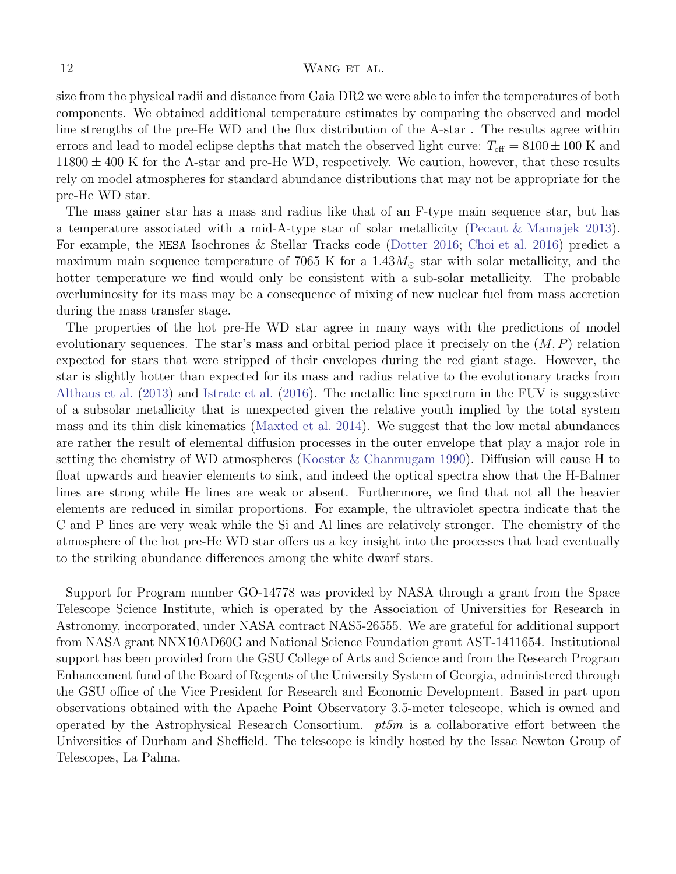size from the physical radii and distance from Gaia DR2 we were able to infer the temperatures of both components. We obtained additional temperature estimates by comparing the observed and model line strengths of the pre-He WD and the flux distribution of the A-star . The results agree within errors and lead to model eclipse depths that match the observed light curve:  $T_{\text{eff}} = 8100 \pm 100 \text{ K}$  and  $11800 \pm 400$  K for the A-star and pre-He WD, respectively. We caution, however, that these results rely on model atmospheres for standard abundance distributions that may not be appropriate for the pre-He WD star.

The mass gainer star has a mass and radius like that of an F-type main sequence star, but has a temperature associated with a mid-A-type star of solar metallicity [\(Pecaut & Mamajek 2013](#page-12-37)). For example, the MESA Isochrones & Stellar Tracks code [\(Dotter 2016;](#page-12-38) [Choi et al. 2016](#page-12-39)) predict a maximum main sequence temperature of 7065 K for a  $1.43M_{\odot}$  star with solar metallicity, and the hotter temperature we find would only be consistent with a sub-solar metallicity. The probable overluminosity for its mass may be a consequence of mixing of new nuclear fuel from mass accretion during the mass transfer stage.

The properties of the hot pre-He WD star agree in many ways with the predictions of model evolutionary sequences. The star's mass and orbital period place it precisely on the  $(M, P)$  relation expected for stars that were stripped of their envelopes during the red giant stage. However, the star is slightly hotter than expected for its mass and radius relative to the evolutionary tracks from [Althaus et al.](#page-12-35) [\(2013\)](#page-12-35) and [Istrate et al.](#page-12-34) [\(2016\)](#page-12-34). The metallic line spectrum in the FUV is suggestive of a subsolar metallicity that is unexpected given the relative youth implied by the total system mass and its thin disk kinematics [\(Maxted et al. 2014\)](#page-12-1). We suggest that the low metal abundances are rather the result of elemental diffusion processes in the outer envelope that play a major role in setting the chemistry of WD atmospheres [\(Koester & Chanmugam 1990\)](#page-12-40). Diffusion will cause H to float upwards and heavier elements to sink, and indeed the optical spectra show that the H-Balmer lines are strong while He lines are weak or absent. Furthermore, we find that not all the heavier elements are reduced in similar proportions. For example, the ultraviolet spectra indicate that the C and P lines are very weak while the Si and Al lines are relatively stronger. The chemistry of the atmosphere of the hot pre-He WD star offers us a key insight into the processes that lead eventually to the striking abundance differences among the white dwarf stars.

Support for Program number GO-14778 was provided by NASA through a grant from the Space Telescope Science Institute, which is operated by the Association of Universities for Research in Astronomy, incorporated, under NASA contract NAS5-26555. We are grateful for additional support from NASA grant NNX10AD60G and National Science Foundation grant AST-1411654. Institutional support has been provided from the GSU College of Arts and Science and from the Research Program Enhancement fund of the Board of Regents of the University System of Georgia, administered through the GSU office of the Vice President for Research and Economic Development. Based in part upon observations obtained with the Apache Point Observatory 3.5-meter telescope, which is owned and operated by the Astrophysical Research Consortium.  $pt5m$  is a collaborative effort between the Universities of Durham and Sheffield. The telescope is kindly hosted by the Issac Newton Group of Telescopes, La Palma.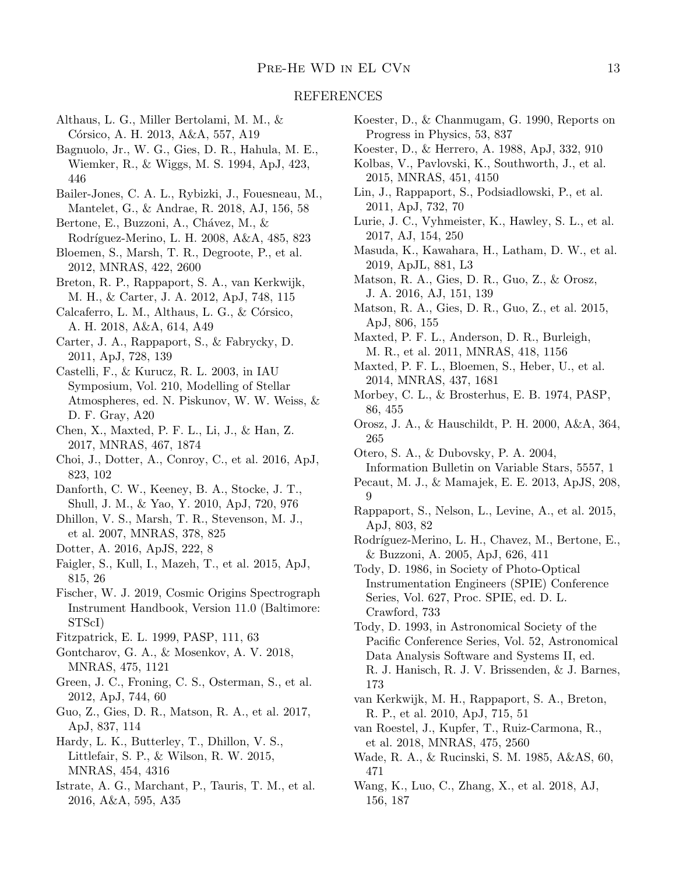## REFERENCES

- <span id="page-12-35"></span>Althaus, L. G., Miller Bertolami, M. M., & Córsico, A. H. 2013, A&A, 557, A19
- <span id="page-12-29"></span>Bagnuolo, Jr., W. G., Gies, D. R., Hahula, M. E., Wiemker, R., & Wiggs, M. S. 1994, ApJ, 423, 446
- <span id="page-12-26"></span>Bailer-Jones, C. A. L., Rybizki, J., Fouesneau, M., Mantelet, G., & Andrae, R. 2018, AJ, 156, 58
- <span id="page-12-21"></span>Bertone, E., Buzzoni, A., Chávez, M., &
- Rodríguez-Merino, L. H. 2008, A&A, 485, 823
- <span id="page-12-3"></span>Bloemen, S., Marsh, T. R., Degroote, P., et al. 2012, MNRAS, 422, 2600
- <span id="page-12-5"></span>Breton, R. P., Rappaport, S. A., van Kerkwijk, M. H., & Carter, J. A. 2012, ApJ, 748, 115
- <span id="page-12-36"></span>Calcaferro, L. M., Althaus, L. G., & Córsico, A. H. 2018, A&A, 614, A49
- <span id="page-12-4"></span>Carter, J. A., Rappaport, S., & Fabrycky, D. 2011, ApJ, 728, 139
- <span id="page-12-41"></span>Castelli, F., & Kurucz, R. L. 2003, in IAU Symposium, Vol. 210, Modelling of Stellar Atmospheres, ed. N. Piskunov, W. W. Weiss, & D. F. Gray, A20
- <span id="page-12-13"></span>Chen, X., Maxted, P. F. L., Li, J., & Han, Z. 2017, MNRAS, 467, 1874
- <span id="page-12-39"></span>Choi, J., Dotter, A., Conroy, C., et al. 2016, ApJ, 823, 102
- <span id="page-12-16"></span>Danforth, C. W., Keeney, B. A., Stocke, J. T., Shull, J. M., & Yao, Y. 2010, ApJ, 720, 976
- <span id="page-12-19"></span>Dhillon, V. S., Marsh, T. R., Stevenson, M. J., et al. 2007, MNRAS, 378, 825
- <span id="page-12-38"></span>Dotter, A. 2016, ApJS, 222, 8
- <span id="page-12-7"></span>Faigler, S., Kull, I., Mazeh, T., et al. 2015, ApJ, 815, 26
- <span id="page-12-15"></span>Fischer, W. J. 2019, Cosmic Origins Spectrograph Instrument Handbook, Version 11.0 (Baltimore: STScI)
- <span id="page-12-27"></span>Fitzpatrick, E. L. 1999, PASP, 111, 63
- <span id="page-12-28"></span>Gontcharov, G. A., & Mosenkov, A. V. 2018, MNRAS, 475, 1121
- <span id="page-12-14"></span>Green, J. C., Froning, C. S., Osterman, S., et al. 2012, ApJ, 744, 60
- <span id="page-12-9"></span>Guo, Z., Gies, D. R., Matson, R. A., et al. 2017, ApJ, 837, 114
- <span id="page-12-18"></span>Hardy, L. K., Butterley, T., Dhillon, V. S., Littlefair, S. P., & Wilson, R. W. 2015, MNRAS, 454, 4316
- <span id="page-12-34"></span>Istrate, A. G., Marchant, P., Tauris, T. M., et al. 2016, A&A, 595, A35
- <span id="page-12-40"></span>Koester, D., & Chanmugam, G. 1990, Reports on Progress in Physics, 53, 837
- <span id="page-12-32"></span>Koester, D., & Herrero, A. 1988, ApJ, 332, 910
- <span id="page-12-17"></span>Kolbas, V., Pavlovski, K., Southworth, J., et al. 2015, MNRAS, 451, 4150
- <span id="page-12-33"></span>Lin, J., Rappaport, S., Podsiadlowski, P., et al. 2011, ApJ, 732, 70
- <span id="page-12-31"></span>Lurie, J. C., Vyhmeister, K., Hawley, S. L., et al. 2017, AJ, 154, 250
- <span id="page-12-12"></span>Masuda, K., Kawahara, H., Latham, D. W., et al. 2019, ApJL, 881, L3
- <span id="page-12-24"></span>Matson, R. A., Gies, D. R., Guo, Z., & Orosz, J. A. 2016, AJ, 151, 139
- <span id="page-12-8"></span>Matson, R. A., Gies, D. R., Guo, Z., et al. 2015, ApJ, 806, 155
- <span id="page-12-0"></span>Maxted, P. F. L., Anderson, D. R., Burleigh, M. R., et al. 2011, MNRAS, 418, 1156
- <span id="page-12-1"></span>Maxted, P. F. L., Bloemen, S., Heber, U., et al. 2014, MNRAS, 437, 1681
- <span id="page-12-22"></span>Morbey, C. L., & Brosterhus, E. B. 1974, PASP, 86, 455
- <span id="page-12-23"></span>Orosz, J. A., & Hauschildt, P. H. 2000, A&A, 364, 265
- <span id="page-12-25"></span>Otero, S. A., & Dubovsky, P. A. 2004, Information Bulletin on Variable Stars, 5557, 1
- <span id="page-12-37"></span>Pecaut, M. J., & Mamajek, E. E. 2013, ApJS, 208, 9
- <span id="page-12-6"></span>Rappaport, S., Nelson, L., Levine, A., et al. 2015, ApJ, 803, 82
- <span id="page-12-20"></span>Rodríguez-Merino, L. H., Chavez, M., Bertone, E., & Buzzoni, A. 2005, ApJ, 626, 411
- <span id="page-12-42"></span>Tody, D. 1986, in Society of Photo-Optical Instrumentation Engineers (SPIE) Conference Series, Vol. 627, Proc. SPIE, ed. D. L. Crawford, 733
- <span id="page-12-43"></span>Tody, D. 1993, in Astronomical Society of the Pacific Conference Series, Vol. 52, Astronomical Data Analysis Software and Systems II, ed. R. J. Hanisch, R. J. V. Brissenden, & J. Barnes, 173
- <span id="page-12-2"></span>van Kerkwijk, M. H., Rappaport, S. A., Breton, R. P., et al. 2010, ApJ, 715, 51
- <span id="page-12-11"></span>van Roestel, J., Kupfer, T., Ruiz-Carmona, R., et al. 2018, MNRAS, 475, 2560
- <span id="page-12-30"></span>Wade, R. A., & Rucinski, S. M. 1985, A&AS, 60, 471
- <span id="page-12-10"></span>Wang, K., Luo, C., Zhang, X., et al. 2018, AJ, 156, 187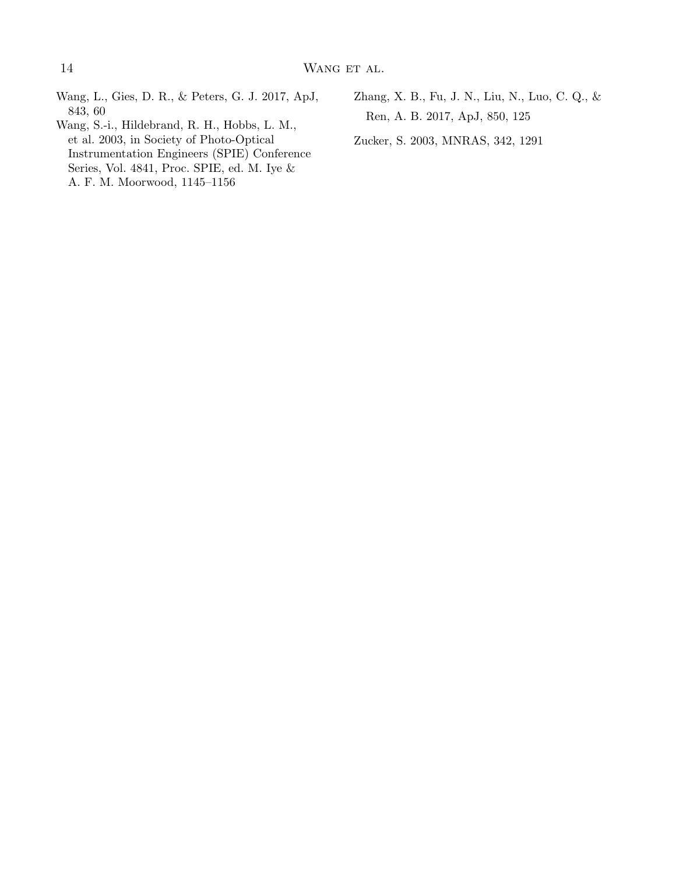- <span id="page-13-2"></span>Wang, L., Gies, D. R., & Peters, G. J. 2017, ApJ, 843, 60
- <span id="page-13-1"></span>Wang, S.-i., Hildebrand, R. H., Hobbs, L. M., et al. 2003, in Society of Photo-Optical Instrumentation Engineers (SPIE) Conference Series, Vol. 4841, Proc. SPIE, ed. M. Iye & A. F. M. Moorwood, 1145–1156
- <span id="page-13-0"></span>Zhang, X. B., Fu, J. N., Liu, N., Luo, C. Q., & Ren, A. B. 2017, ApJ, 850, 125
- <span id="page-13-3"></span>Zucker, S. 2003, MNRAS, 342, 1291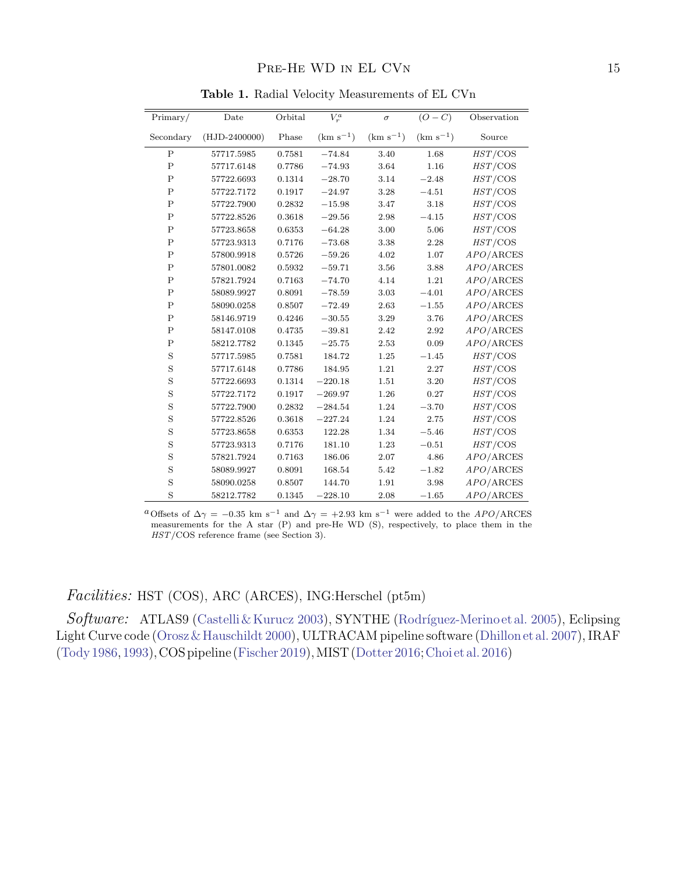| Primary/       | Date            | Orbital | $V_r^a$       | $\sigma$      | $(O - C)$     | Observation |
|----------------|-----------------|---------|---------------|---------------|---------------|-------------|
| Secondary      | $(HJD-2400000)$ | Phase   | $(km s^{-1})$ | $(km s^{-1})$ | $(km s^{-1})$ | Source      |
| $\mathbf{P}$   | 57717.5985      | 0.7581  | $-74.84$      | 3.40          | 1.68          | HST/COS     |
| $\mathbf{P}$   | 57717.6148      | 0.7786  | $-74.93$      | 3.64          | 1.16          | $HST$ /COS  |
| $\mathbf P$    | 57722.6693      | 0.1314  | $-28.70$      | 3.14          | $-2.48$       | $HST$ /COS  |
| $\mathbf P$    | 57722.7172      | 0.1917  | $-24.97$      | 3.28          | $-4.51$       | $HST$ /COS  |
| $\mathbf P$    | 57722.7900      | 0.2832  | $-15.98$      | 3.47          | 3.18          | $HST$ /COS  |
| $\overline{P}$ | 57722.8526      | 0.3618  | $-29.56$      | 2.98          | $-4.15$       | $HST$ /COS  |
| $\mathbf P$    | 57723.8658      | 0.6353  | $-64.28$      | 3.00          | 5.06          | $HST$ /COS  |
| $\overline{P}$ | 57723.9313      | 0.7176  | $-73.68$      | 3.38          | 2.28          | $HST$ /COS  |
| $\mathbf P$    | 57800.9918      | 0.5726  | $-59.26$      | 4.02          | 1.07          | APO/ARCES   |
| $\mathbf P$    | 57801.0082      | 0.5932  | $-59.71$      | 3.56          | 3.88          | APO/ARCES   |
| $\mathsf{P}$   | 57821.7924      | 0.7163  | $-74.70$      | 4.14          | 1.21          | APO/ARCES   |
| $\mathbf P$    | 58089.9927      | 0.8091  | $-78.59$      | 3.03          | $-4.01$       | APO/ARCES   |
| $\mathbf{P}$   | 58090.0258      | 0.8507  | $-72.49$      | 2.63          | $-1.55$       | APO/ARCES   |
| $\mathbf P$    | 58146.9719      | 0.4246  | $-30.55$      | 3.29          | 3.76          | APO/ARCES   |
| $\mathbf P$    | 58147.0108      | 0.4735  | $-39.81$      | 2.42          | 2.92          | APO/ARCES   |
| $\mathbf P$    | 58212.7782      | 0.1345  | $-25.75$      | 2.53          | 0.09          | APO/ARCES   |
| S              | 57717.5985      | 0.7581  | 184.72        | 1.25          | $-1.45$       | $HST$ /COS  |
| S              | 57717.6148      | 0.7786  | 184.95        | 1.21          | 2.27          | $HST$ /COS  |
| S              | 57722.6693      | 0.1314  | $-220.18$     | 1.51          | 3.20          | $HST$ /COS  |
| S              | 57722.7172      | 0.1917  | $-269.97$     | 1.26          | 0.27          | $HST$ /COS  |
| S              | 57722.7900      | 0.2832  | $-284.54$     | 1.24          | $-3.70$       | $HST$ /COS  |
| S              | 57722.8526      | 0.3618  | $-227.24$     | 1.24          | 2.75          | $HST$ /COS  |
| S              | 57723.8658      | 0.6353  | 122.28        | 1.34          | $-5.46$       | $HST$ /COS  |
| S              | 57723.9313      | 0.7176  | 181.10        | 1.23          | $-0.51$       | $HST$ /COS  |
| S              | 57821.7924      | 0.7163  | 186.06        | 2.07          | 4.86          | APO/ARCES   |
| S              | 58089.9927      | 0.8091  | 168.54        | 5.42          | $-1.82$       | APO/ARCES   |
| S              | 58090.0258      | 0.8507  | 144.70        | 1.91          | 3.98          | APO/ARCES   |
| S              | 58212.7782      | 0.1345  | $-228.10$     | 2.08          | $-1.65$       | APO/ARCES   |

Table 1. Radial Velocity Measurements of EL CVn

<sup>a</sup>Offsets of  $\Delta\gamma = -0.35$  km s<sup>-1</sup> and  $\Delta\gamma = +2.93$  km s<sup>-1</sup> were added to the *APO*/ARCES measurements for the A star (P) and pre-He WD (S), respectively, to place them in the HST/COS reference frame (see Section 3).

# Facilities: HST (COS), ARC (ARCES), ING:Herschel (pt5m)

 $Software: ATLAS9 (Castelli & Kurucz 2003), SYNTHE (Rodríguez-Merino et al. 2005), Eclipse$ Light Curve code [\(Orosz& Hauschildt 2000\)](#page-12-23), ULTRACAM pipeline software [\(Dhillon et al. 2007\)](#page-12-19), IRAF [\(Tody 1986,](#page-12-42) [1993\)](#page-12-43), COS pipeline [\(Fischer 2019](#page-12-15)),MIST [\(Dotter 2016;](#page-12-38)[Choi et al. 2016\)](#page-12-39)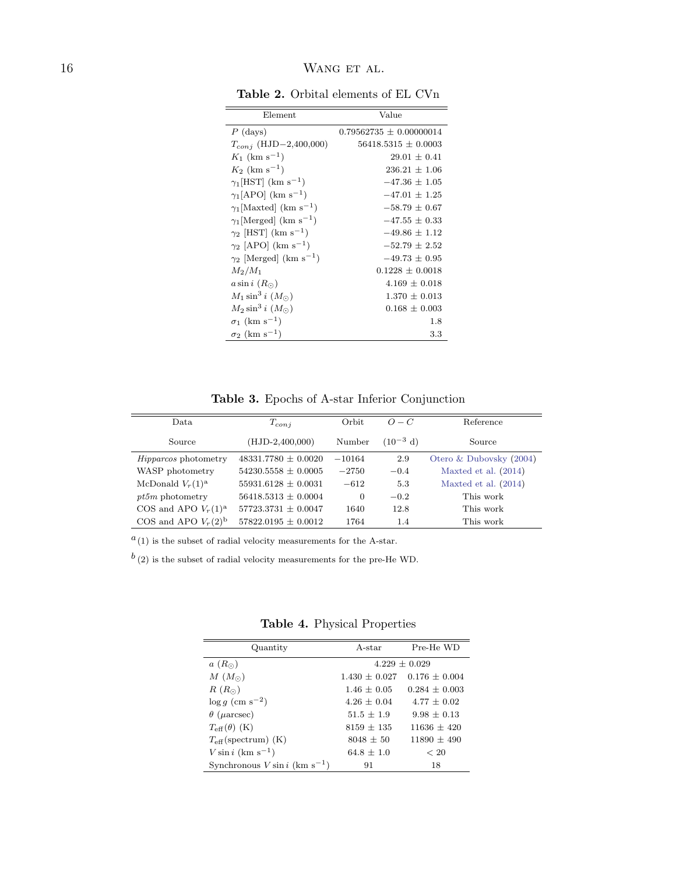| Element                                   | Value                     |
|-------------------------------------------|---------------------------|
| $P$ (days)                                | $0.79562735 + 0.00000014$ |
| $T_{conj}$ (HJD-2,400,000)                | $56418.5315 \pm 0.0003$   |
| $K_1$ (km s <sup>-1</sup> )               | $29.01 + 0.41$            |
| $K_2$ (km s <sup>-1</sup> )               | $236.21 + 1.06$           |
| $\gamma_1$ [HST] (km s <sup>-1</sup> )    | $-47.36 + 1.05$           |
| $\gamma_1$ [APO] (km s <sup>-1</sup> )    | $-47.01 + 1.25$           |
| $\gamma_1$ [Maxted] (km s <sup>-1</sup> ) | $-58.79 + 0.67$           |
| $\gamma_1$ [Merged] (km s <sup>-1</sup> ) | $-47.55 + 0.33$           |
| $\gamma_2$ [HST] (km s <sup>-1</sup> )    | $-49.86 + 1.12$           |
| $\gamma_2$ [APO] (km s <sup>-1</sup> )    | $-52.79 + 2.52$           |
| $\gamma_2$ [Merged] (km s <sup>-1</sup> ) | $-49.73 + 0.95$           |
| $M_2/M_1$                                 | $0.1228 + 0.0018$         |
| $a\sin i\ (R_{\odot})$                    | $4.169 + 0.018$           |
| $M_1 \sin^3 i$ $(M_{\odot})$              | $1.370 + 0.013$           |
| $M_2 \sin^3 i (M_{\odot})$                | $0.168 + 0.003$           |
| $\sigma_1$ (km s <sup>-1</sup> )          | 1.8                       |
| $\sigma_2$ (km s <sup>-1</sup> )          | 3.3                       |

Table 2. Orbital elements of EL CVn

Table 3. Epochs of A-star Inferior Conjunction

| Data.                       | $T_{\text{con}i}$       | Orbit    | $O-C$         | Reference               |  |
|-----------------------------|-------------------------|----------|---------------|-------------------------|--|
| Source                      | $(HJD-2,400,000)$       | Number   | $(10^{-3}$ d) | Source                  |  |
| <i>Hipparcos</i> photometry | $48331.7780 \pm 0.0020$ | $-10164$ | 2.9           | Otero & Dubovsky (2004) |  |
| WASP photometry             | $54230.5558 \pm 0.0005$ | $-2750$  | $-0.4$        | Maxted et al. $(2014)$  |  |
| McDonald $V_r(1)^a$         | $55931.6128 \pm 0.0031$ | $-612$   | 5.3           | Maxted et al. $(2014)$  |  |
| $pt5m$ photometry           | $56418.5313 \pm 0.0004$ | $\Omega$ | $-0.2$        | This work               |  |
| COS and APO $V_r(1)^a$      | $57723.3731 \pm 0.0047$ | 1640     | 12.8          | This work               |  |
| COS and APO $V_r(2)^b$      | $57822.0195 \pm 0.0012$ | 1764     | 1.4           | This work               |  |

 $a(1)$  is the subset of radial velocity measurements for the A-star.

 $b(2)$  is the subset of radial velocity measurements for the pre-He WD.

Table 4. Physical Properties

| Quantity                                     | A-star          | Pre-He WD         |  |  |
|----------------------------------------------|-----------------|-------------------|--|--|
| $a(R_{\odot})$                               | $4.229 + 0.029$ |                   |  |  |
| $M(M_{\odot})$                               | $1.430 + 0.027$ | $0.176 + 0.004$   |  |  |
| $R(R_{\odot})$                               | $1.46 + 0.05$   | $0.284 \pm 0.003$ |  |  |
| $\log q$ (cm s <sup>-2</sup> )               | $4.26 + 0.04$   | $4.77 + 0.02$     |  |  |
| $\theta$ ( <i>µ</i> arcsec)                  | $51.5 + 1.9$    | $9.98 + 0.13$     |  |  |
| $T_{\rm eff}(\theta)$ (K)                    | $8159 + 135$    | $11636 + 420$     |  |  |
| $T_{\text{eff}}$ (spectrum) (K)              | $8048 \pm 50$   | $11890 + 490$     |  |  |
| $V \sin i$ (km s <sup>-1</sup> )             | $64.8 + 1.0$    | < 20              |  |  |
| Synchronous $V \sin i$ (km s <sup>-1</sup> ) | 91              | 18                |  |  |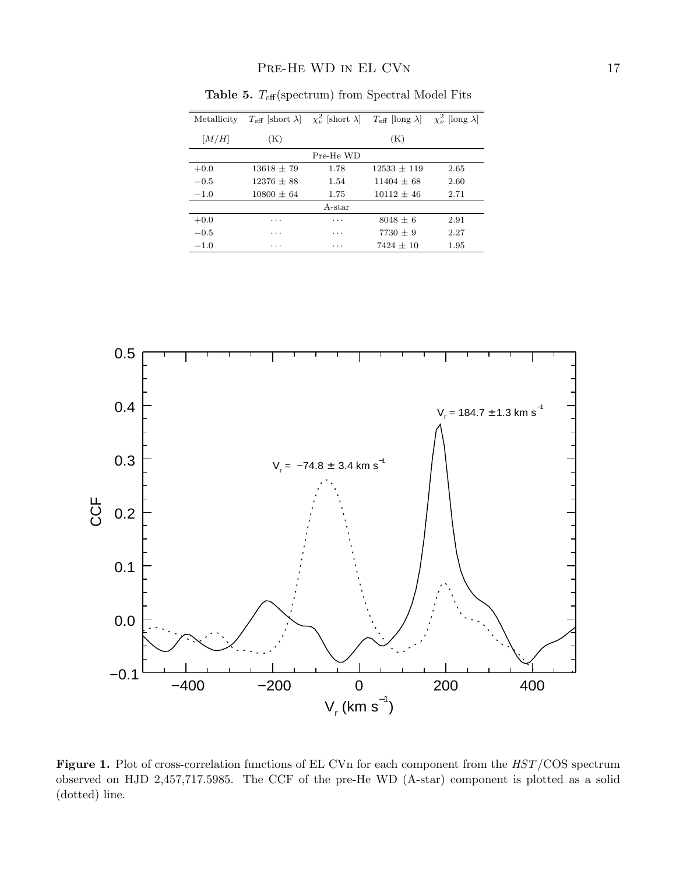| Metallicity | $T_{\text{eff}}$ short $\lambda$ |           | $\chi^2_{\nu}$ short $\lambda$ $T_{\text{eff}}$ [long $\lambda$ ] | $\chi^2_{\nu}$ [long $\lambda$ ] |
|-------------|----------------------------------|-----------|-------------------------------------------------------------------|----------------------------------|
| [M/H]       | $(\mathrm{K})$                   |           | (K)                                                               |                                  |
|             |                                  | Pre-He WD |                                                                   |                                  |
| $+0.0$      | $13618 + 79$                     | 1.78      | $12533 + 119$                                                     | 2.65                             |
| $-0.5$      | $12376 + 88$                     | 1.54      | $11404 + 68$                                                      | 2.60                             |
| $-1.0$      | $10800 + 64$                     | 1.75      | $10112 + 46$                                                      | 2.71                             |
|             |                                  | A-star    |                                                                   |                                  |
| $+0.0$      | .                                | $\cdots$  | $8048 + 6$                                                        | 2.91                             |
| $-0.5$      | $\cdots$                         | $\cdots$  | $7730 + 9$                                                        | 2.27                             |
| $-1.0$      | $\cdots$                         | .         | $7424 + 10$                                                       | 1.95                             |

Table 5.  $T_{\text{eff}}$ (spectrum) from Spectral Model Fits



Figure 1. Plot of cross-correlation functions of EL CVn for each component from the  $HST/COS$  spectrum observed on HJD 2,457,717.5985. The CCF of the pre-He WD (A-star) component is plotted as a solid (dotted) line.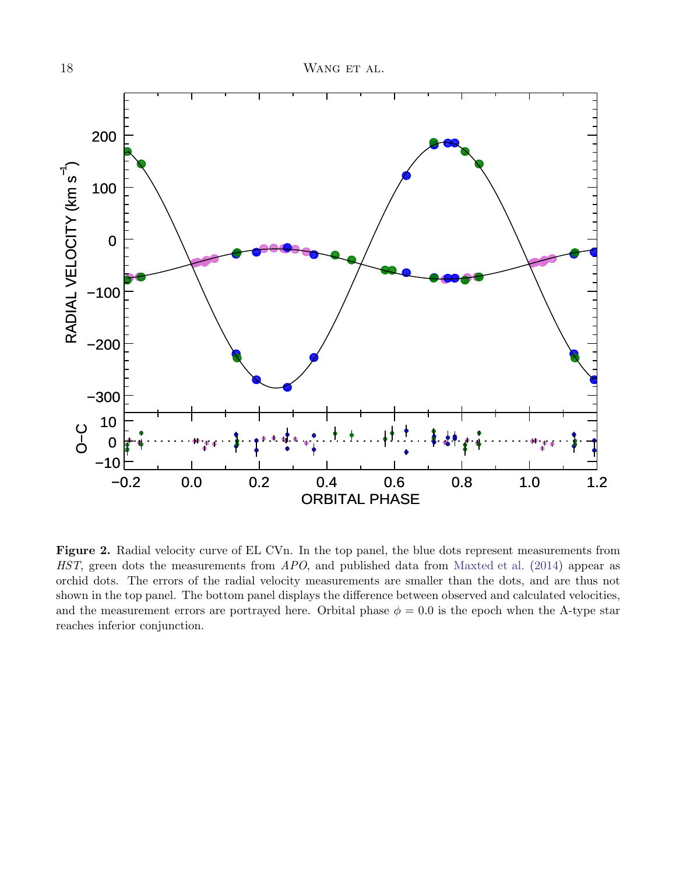

Figure 2. Radial velocity curve of EL CVn. In the top panel, the blue dots represent measurements from HST, green dots the measurements from APO, and published data from [Maxted et al.](#page-12-1) [\(2014](#page-12-1)) appear as orchid dots. The errors of the radial velocity measurements are smaller than the dots, and are thus not shown in the top panel. The bottom panel displays the difference between observed and calculated velocities, and the measurement errors are portrayed here. Orbital phase  $\phi = 0.0$  is the epoch when the A-type star reaches inferior conjunction.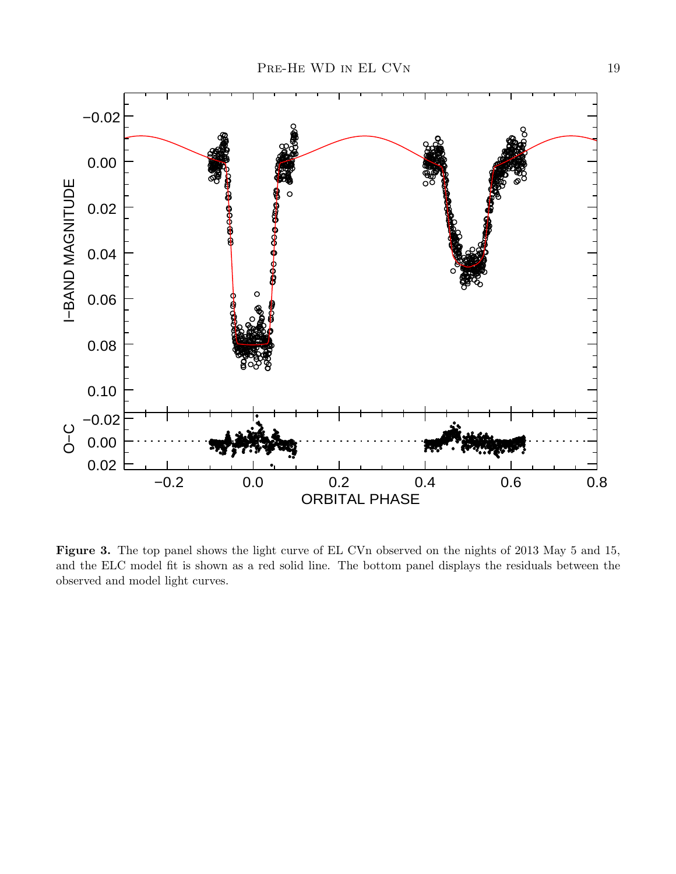

Figure 3. The top panel shows the light curve of EL CVn observed on the nights of 2013 May 5 and 15, and the ELC model fit is shown as a red solid line. The bottom panel displays the residuals between the observed and model light curves.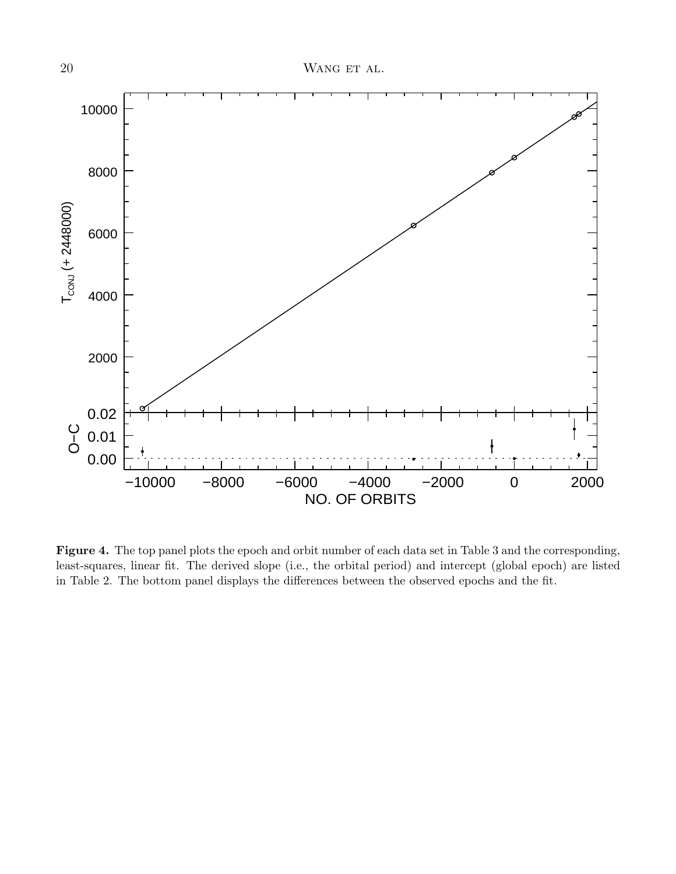

Figure 4. The top panel plots the epoch and orbit number of each data set in Table 3 and the corresponding, least-squares, linear fit. The derived slope (i.e., the orbital period) and intercept (global epoch) are listed in Table 2. The bottom panel displays the differences between the observed epochs and the fit.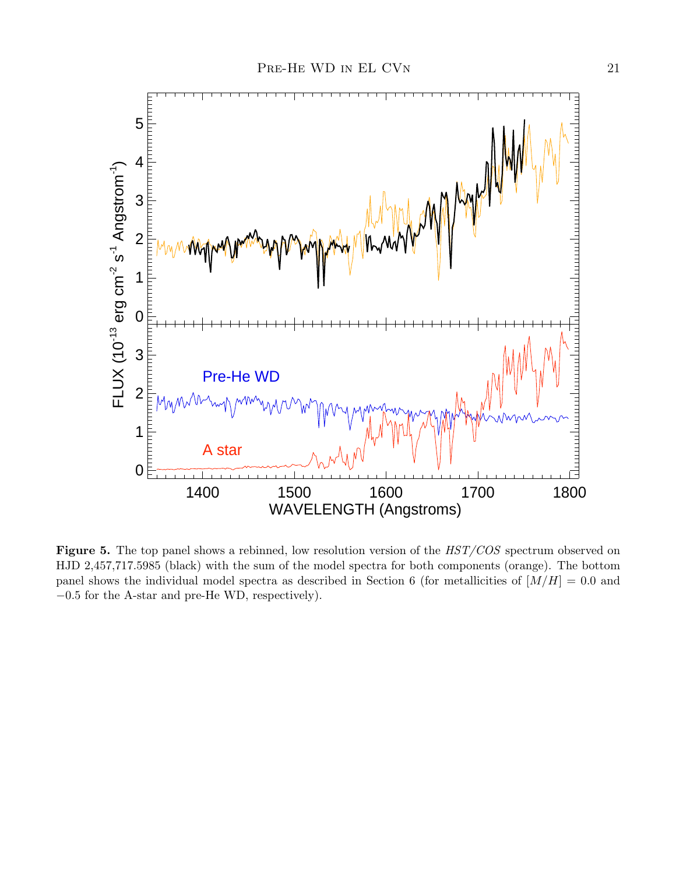

Figure 5. The top panel shows a rebinned, low resolution version of the  $HST/COS$  spectrum observed on HJD 2,457,717.5985 (black) with the sum of the model spectra for both components (orange). The bottom panel shows the individual model spectra as described in Section 6 (for metallicities of  $[M/H] = 0.0$  and −0.5 for the A-star and pre-He WD, respectively).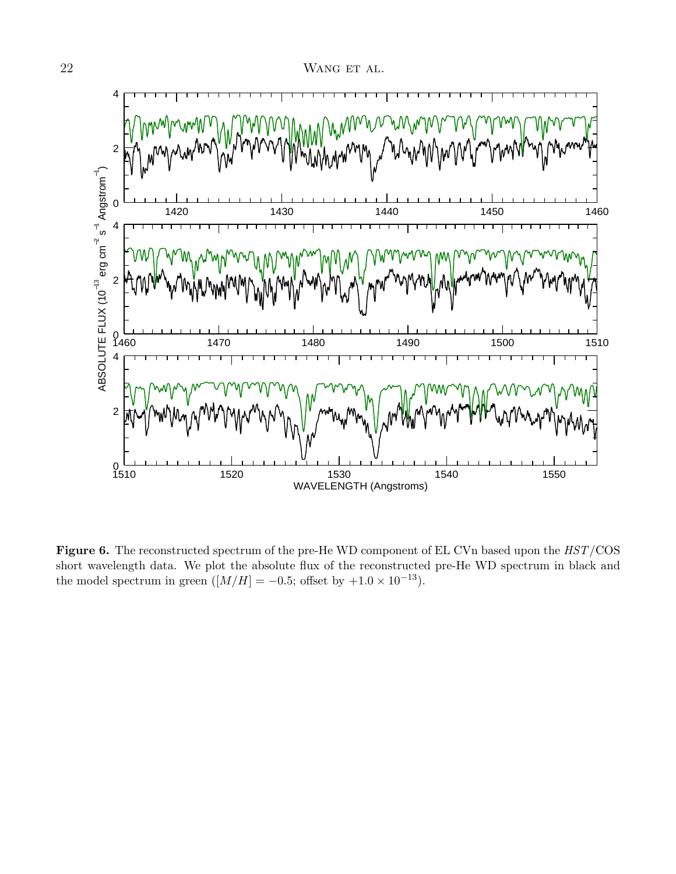

Figure 6. The reconstructed spectrum of the pre-He WD component of EL CVn based upon the  $HST/COS$ short wavelength data. We plot the absolute flux of the reconstructed pre-He WD spectrum in black and the model spectrum in green  $([M/H] = -0.5$ ; offset by  $+1.0 \times 10^{-13}$ ).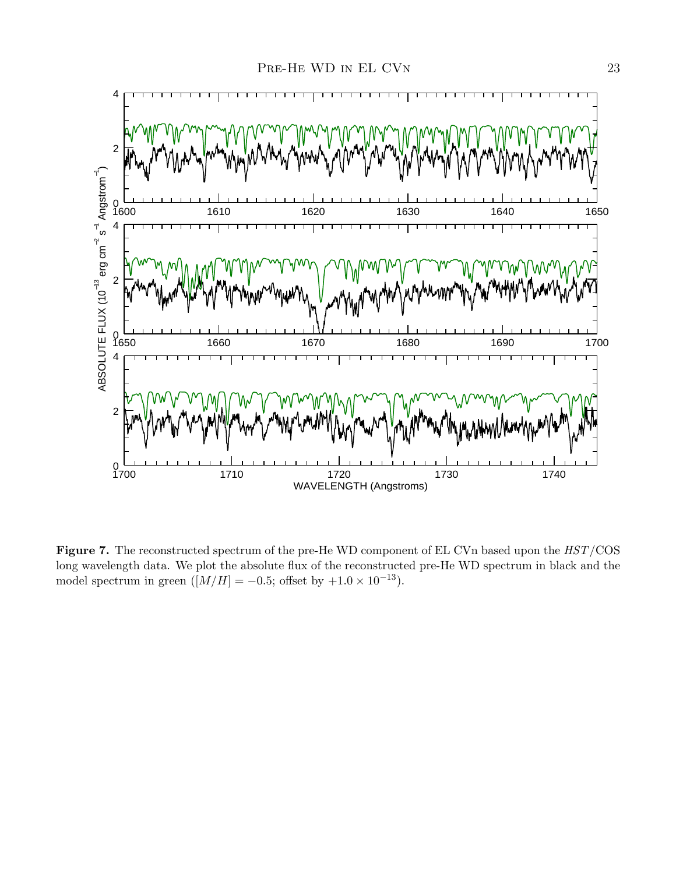

Figure 7. The reconstructed spectrum of the pre-He WD component of EL CVn based upon the  $HST/COS$ long wavelength data. We plot the absolute flux of the reconstructed pre-He WD spectrum in black and the model spectrum in green  $([M/H] = -0.5$ ; offset by  $+1.0 \times 10^{-13}$ ).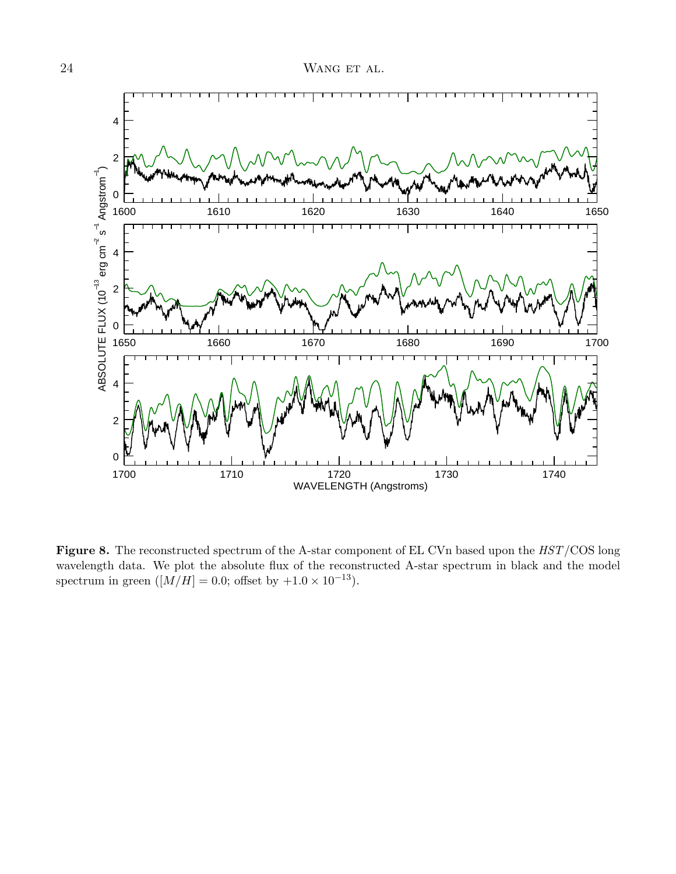

Figure 8. The reconstructed spectrum of the A-star component of EL CVn based upon the  $HST/\text{COS}$  long wavelength data. We plot the absolute flux of the reconstructed A-star spectrum in black and the model spectrum in green  $([M/H] = 0.0$ ; offset by  $+1.0 \times 10^{-13}$ ).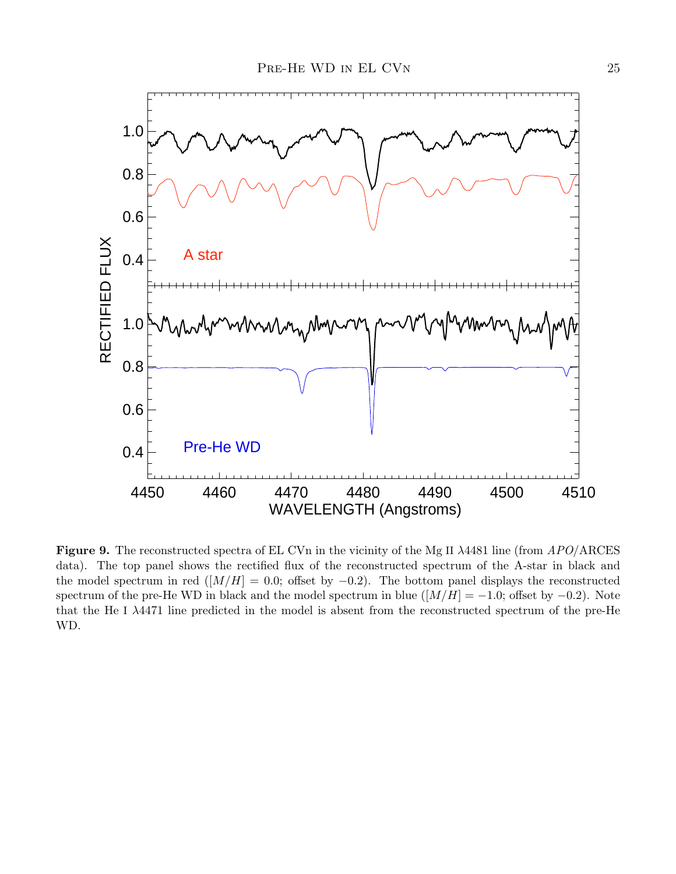

Figure 9. The reconstructed spectra of EL CVn in the vicinity of the Mg II  $\lambda$ 4481 line (from APO/ARCES data). The top panel shows the rectified flux of the reconstructed spectrum of the A-star in black and the model spectrum in red ( $[M/H] = 0.0$ ; offset by  $-0.2$ ). The bottom panel displays the reconstructed spectrum of the pre-He WD in black and the model spectrum in blue  $([M/H] = -1.0$ ; offset by  $-0.2$ ). Note that the He I λ4471 line predicted in the model is absent from the reconstructed spectrum of the pre-He WD.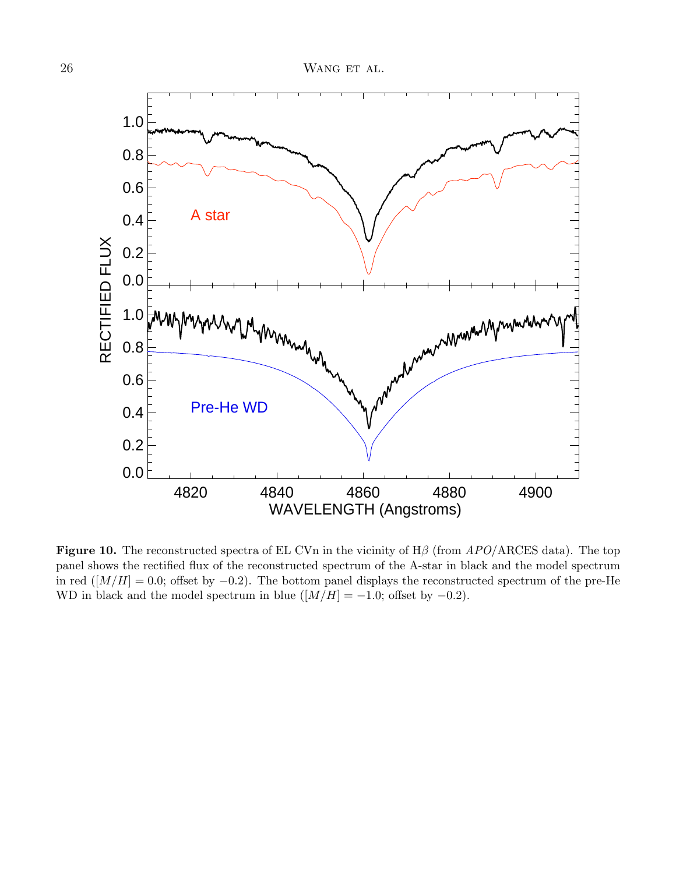

Figure 10. The reconstructed spectra of EL CVn in the vicinity of  $H\beta$  (from  $APO/$  ARCES data). The toppanel shows the rectified flux of the reconstructed spectrum of the A-star in black and the model spectrum in red ( $[M/H] = 0.0$ ; offset by  $-0.2$ ). The bottom panel displays the reconstructed spectrum of the pre-He WD in black and the model spectrum in blue  $([M/H] = -1.0$ ; offset by  $-0.2$ ).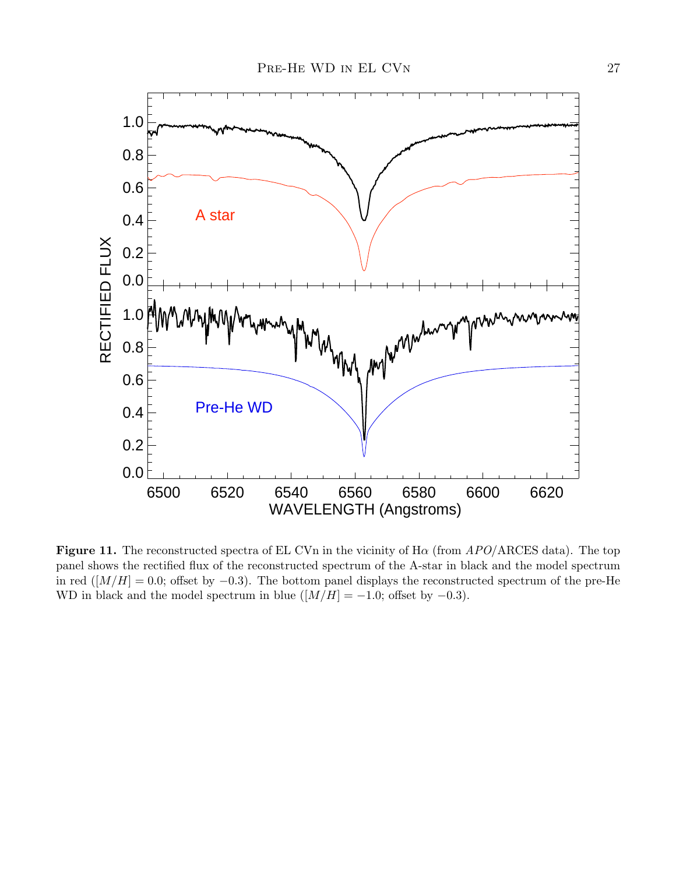

Figure 11. The reconstructed spectra of EL CVn in the vicinity of  $H\alpha$  (from  $APO/ARCES$  data). The top panel shows the rectified flux of the reconstructed spectrum of the A-star in black and the model spectrum in red ( $[M/H] = 0.0$ ; offset by −0.3). The bottom panel displays the reconstructed spectrum of the pre-He WD in black and the model spectrum in blue  $([M/H] = -1.0$ ; offset by  $-0.3$ ).